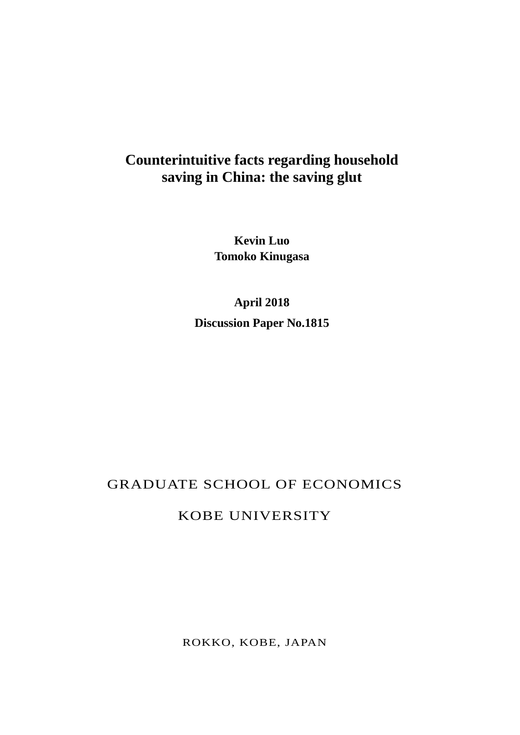# **Counterintuitive facts regarding household saving in China: the saving glut**

**Kevin Luo Tomoko Kinugasa**

**April 2018 Discussion Paper No.1815**

### GRADUATE SCHOOL OF ECONOMICS

### KOBE UNIVERSITY

ROKKO, KOBE, JAPAN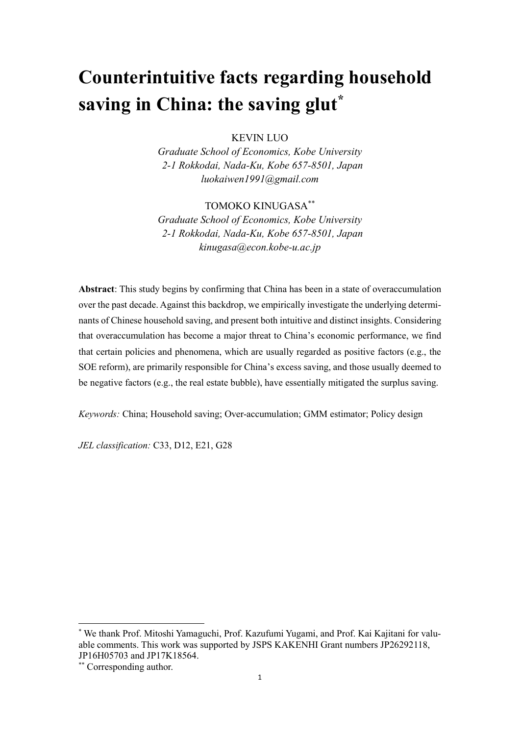# **Counterintuitive facts regarding household saving in China: the saving glut\***

KEVIN LUO

*Graduate School of Economics, Kobe University 2-1 Rokkodai, Nada-Ku, Kobe 657-8501, Japan luokaiwen1991@gmail.com*

#### TOMOKO KINUGASA\*\*

*Graduate School of Economics, Kobe University 2-1 Rokkodai, Nada-Ku, Kobe 657-8501, Japan kinugasa@econ.kobe-u.ac.jp*

**Abstract**: This study begins by confirming that China has been in a state of overaccumulation over the past decade. Against this backdrop, we empirically investigate the underlying determinants of Chinese household saving, and present both intuitive and distinct insights. Considering that overaccumulation has become a major threat to China's economic performance, we find that certain policies and phenomena, which are usually regarded as positive factors (e.g., the SOE reform), are primarily responsible for China's excess saving, and those usually deemed to be negative factors (e.g., the real estate bubble), have essentially mitigated the surplus saving.

*Keywords:* China; Household saving; Over-accumulation; GMM estimator; Policy design

*JEL classification:* C33, D12, E21, G28

<sup>\*</sup> We thank Prof. Mitoshi Yamaguchi, Prof. Kazufumi Yugami, and Prof. Kai Kajitani for valuable comments. This work was supported by JSPS KAKENHI Grant numbers JP26292118, JP16H05703 and JP17K18564.

<sup>\*\*</sup> Corresponding author.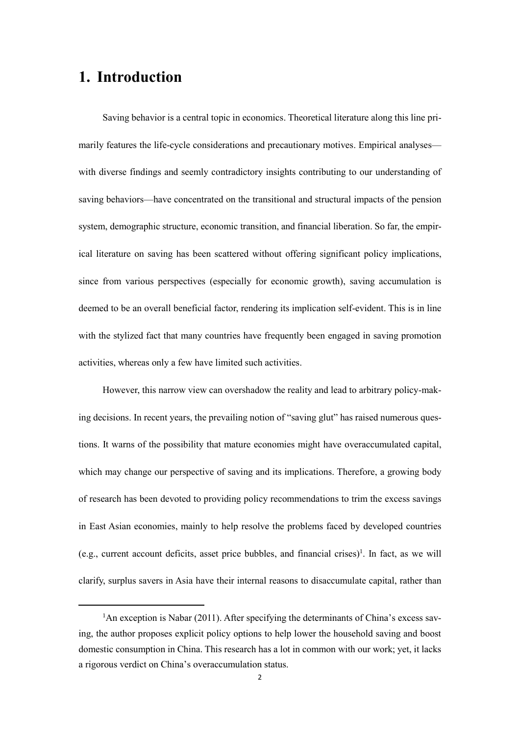## **1. Introduction**

-

Saving behavior is a central topic in economics. Theoretical literature along this line primarily features the life-cycle considerations and precautionary motives. Empirical analyses with diverse findings and seemly contradictory insights contributing to our understanding of saving behaviors—have concentrated on the transitional and structural impacts of the pension system, demographic structure, economic transition, and financial liberation. So far, the empirical literature on saving has been scattered without offering significant policy implications, since from various perspectives (especially for economic growth), saving accumulation is deemed to be an overall beneficial factor, rendering its implication self-evident. This is in line with the stylized fact that many countries have frequently been engaged in saving promotion activities, whereas only a few have limited such activities.

However, this narrow view can overshadow the reality and lead to arbitrary policy-making decisions. In recent years, the prevailing notion of "saving glut" has raised numerous questions. It warns of the possibility that mature economies might have overaccumulated capital, which may change our perspective of saving and its implications. Therefore, a growing body of research has been devoted to providing policy recommendations to trim the excess savings in East Asian economies, mainly to help resolve the problems faced by developed countries (e.g., current account deficits, asset price bubbles, and financial crises) 1 . In fact, as we will clarify, surplus savers in Asia have their internal reasons to disaccumulate capital, rather than

<sup>&</sup>lt;sup>1</sup>An exception is Nabar (2011). After specifying the determinants of China's excess saving, the author proposes explicit policy options to help lower the household saving and boost domestic consumption in China. This research has a lot in common with our work; yet, it lacks a rigorous verdict on China's overaccumulation status.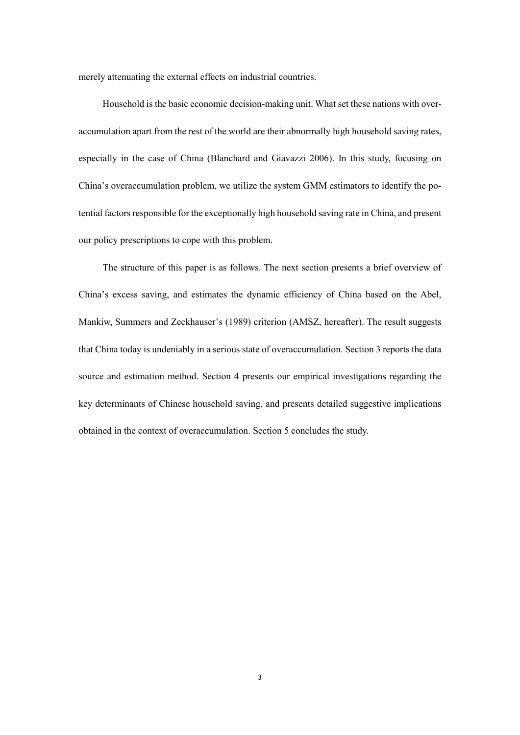merely attenuating the external effects on industrial countries.

Household is the basic economic decision-making unit. What set these nations with overaccumulation apart from the rest of the world are their abnormally high household saving rates, especially in the case of China (Blanchard and Giavazzi 2006). In this study, focusing on China's overaccumulation problem, we utilize the system GMM estimators to identify the potential factors responsible for the exceptionally high household saving rate in China, and present our policy prescriptions to cope with this problem.

The structure of this paper is as follows. The next section presents a brief overview of China's excess saving, and estimates the dynamic efficiency of China based on the Abel, Mankiw, Summers and Zeckhauser's (1989) criterion (AMSZ, hereafter). The result suggests that China today is undeniably in a serious state of overaccumulation. Section 3 reports the data source and estimation method. Section 4 presents our empirical investigations regarding the key determinants of Chinese household saving, and presents detailed suggestive implications obtained in the context of overaccumulation. Section 5 concludes the study.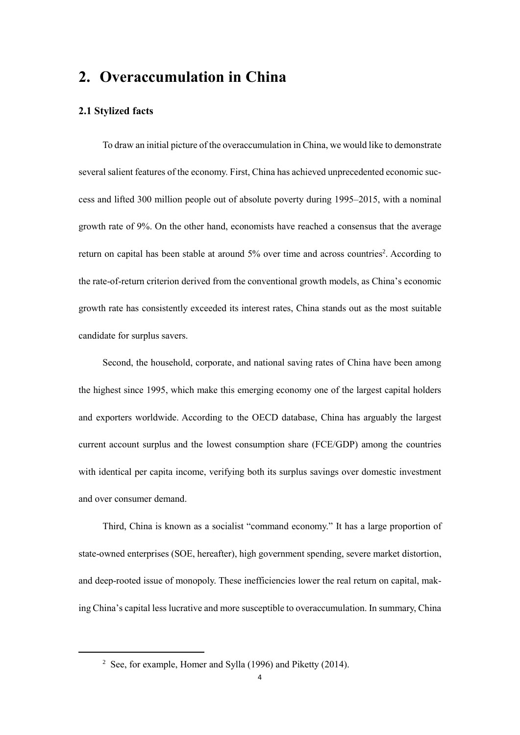### **2. Overaccumulation in China**

#### **2.1 Stylized facts**

-

To draw an initial picture of the overaccumulation in China, we would like to demonstrate several salient features of the economy. First, China has achieved unprecedented economic success and lifted 300 million people out of absolute poverty during 1995–2015, with a nominal growth rate of 9%. On the other hand, economists have reached a consensus that the average return on capital has been stable at around 5% over time and across countries<sup>2</sup>. According to the rate-of-return criterion derived from the conventional growth models, as China's economic growth rate has consistently exceeded its interest rates, China stands out as the most suitable candidate for surplus savers.

Second, the household, corporate, and national saving rates of China have been among the highest since 1995, which make this emerging economy one of the largest capital holders and exporters worldwide. According to the OECD database, China has arguably the largest current account surplus and the lowest consumption share (FCE/GDP) among the countries with identical per capita income, verifying both its surplus savings over domestic investment and over consumer demand.

Third, China is known as a socialist "command economy." It has a large proportion of state-owned enterprises (SOE, hereafter), high government spending, severe market distortion, and deep-rooted issue of monopoly. These inefficiencies lower the real return on capital, making China's capital less lucrative and more susceptible to overaccumulation. In summary, China

<sup>&</sup>lt;sup>2</sup> See, for example, Homer and Sylla (1996) and Piketty (2014).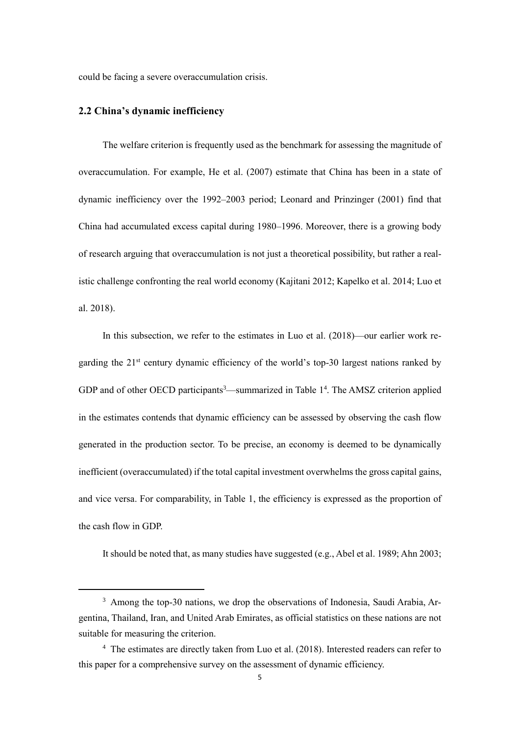could be facing a severe overaccumulation crisis.

#### **2.2 China's dynamic inefficiency**

-

The welfare criterion is frequently used as the benchmark for assessing the magnitude of overaccumulation. For example, He et al. (2007) estimate that China has been in a state of dynamic inefficiency over the 1992–2003 period; Leonard and Prinzinger (2001) find that China had accumulated excess capital during 1980–1996. Moreover, there is a growing body of research arguing that overaccumulation is not just a theoretical possibility, but rather a realistic challenge confronting the real world economy (Kajitani 2012; Kapelko et al. 2014; Luo et al. 2018).

In this subsection, we refer to the estimates in Luo et al. (2018)—our earlier work regarding the  $21<sup>st</sup>$  century dynamic efficiency of the world's top-30 largest nations ranked by GDP and of other OECD participants<sup>3</sup>—summarized in Table  $1<sup>4</sup>$ . The AMSZ criterion applied in the estimates contends that dynamic efficiency can be assessed by observing the cash flow generated in the production sector. To be precise, an economy is deemed to be dynamically inefficient (overaccumulated) if the total capital investment overwhelms the gross capital gains, and vice versa. For comparability, in Table 1, the efficiency is expressed as the proportion of the cash flow in GDP.

It should be noted that, as many studies have suggested (e.g., Abel et al. 1989; Ahn 2003;

<sup>&</sup>lt;sup>3</sup> Among the top-30 nations, we drop the observations of Indonesia, Saudi Arabia, Argentina, Thailand, Iran, and United Arab Emirates, as official statistics on these nations are not suitable for measuring the criterion.

<sup>4</sup> The estimates are directly taken from Luo et al. (2018). Interested readers can refer to this paper for a comprehensive survey on the assessment of dynamic efficiency.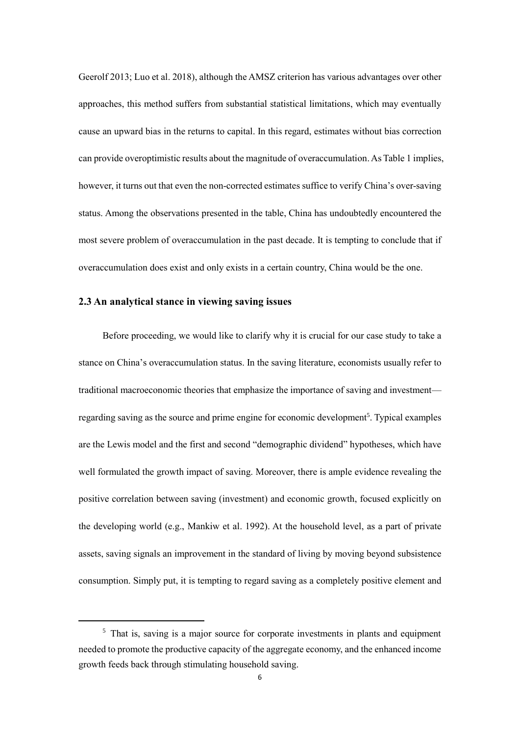Geerolf 2013; Luo et al. 2018), although the AMSZ criterion has various advantages over other approaches, this method suffers from substantial statistical limitations, which may eventually cause an upward bias in the returns to capital. In this regard, estimates without bias correction can provide overoptimistic results about the magnitude of overaccumulation.As Table 1 implies, however, it turns out that even the non-corrected estimates suffice to verify China's over-saving status. Among the observations presented in the table, China has undoubtedly encountered the most severe problem of overaccumulation in the past decade. It is tempting to conclude that if overaccumulation does exist and only exists in a certain country, China would be the one.

#### **2.3 An analytical stance in viewing saving issues**

**.** 

Before proceeding, we would like to clarify why it is crucial for our case study to take a stance on China's overaccumulation status. In the saving literature, economists usually refer to traditional macroeconomic theories that emphasize the importance of saving and investment regarding saving as the source and prime engine for economic development<sup>5</sup>. Typical examples are the Lewis model and the first and second "demographic dividend" hypotheses, which have well formulated the growth impact of saving. Moreover, there is ample evidence revealing the positive correlation between saving (investment) and economic growth, focused explicitly on the developing world (e.g., Mankiw et al. 1992). At the household level, as a part of private assets, saving signals an improvement in the standard of living by moving beyond subsistence consumption. Simply put, it is tempting to regard saving as a completely positive element and

<sup>&</sup>lt;sup>5</sup> That is, saving is a major source for corporate investments in plants and equipment needed to promote the productive capacity of the aggregate economy, and the enhanced income growth feeds back through stimulating household saving.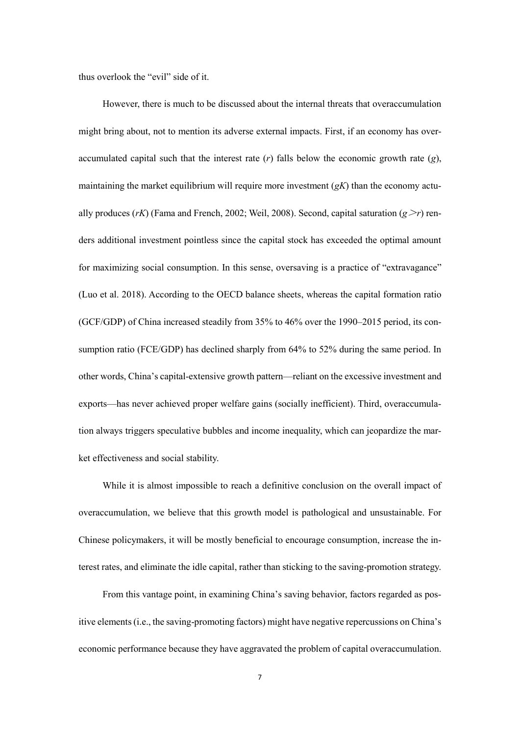thus overlook the "evil" side of it.

However, there is much to be discussed about the internal threats that overaccumulation might bring about, not to mention its adverse external impacts. First, if an economy has overaccumulated capital such that the interest rate (*r*) falls below the economic growth rate (*g*), maintaining the market equilibrium will require more investment (*gK*) than the economy actually produces (*rK*) (Fama and French, 2002; Weil, 2008). Second, capital saturation ( $g \ge r$ ) renders additional investment pointless since the capital stock has exceeded the optimal amount for maximizing social consumption. In this sense, oversaving is a practice of "extravagance" (Luo et al. 2018). According to the OECD balance sheets, whereas the capital formation ratio (GCF/GDP) of China increased steadily from 35% to 46% over the 1990–2015 period, its consumption ratio (FCE/GDP) has declined sharply from 64% to 52% during the same period. In other words, China's capital-extensive growth pattern—reliant on the excessive investment and exports—has never achieved proper welfare gains (socially inefficient). Third, overaccumulation always triggers speculative bubbles and income inequality, which can jeopardize the market effectiveness and social stability.

While it is almost impossible to reach a definitive conclusion on the overall impact of overaccumulation, we believe that this growth model is pathological and unsustainable. For Chinese policymakers, it will be mostly beneficial to encourage consumption, increase the interest rates, and eliminate the idle capital, rather than sticking to the saving-promotion strategy.

From this vantage point, in examining China's saving behavior, factors regarded as positive elements(i.e., the saving-promoting factors) might have negative repercussions on China's economic performance because they have aggravated the problem of capital overaccumulation.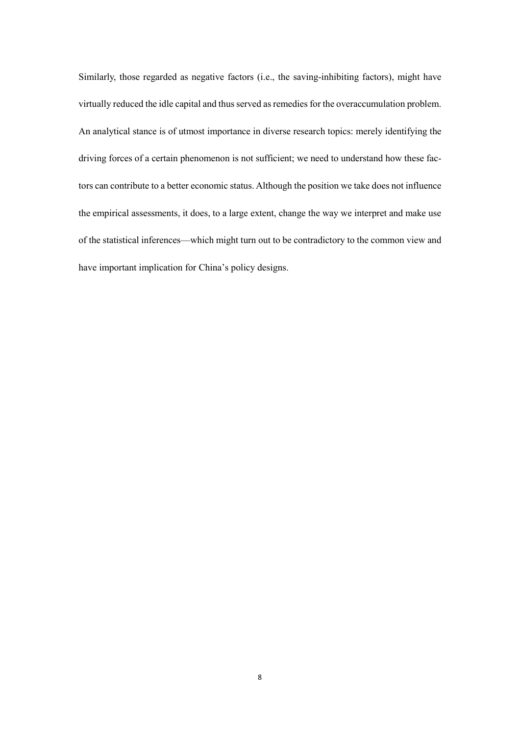Similarly, those regarded as negative factors (i.e., the saving-inhibiting factors), might have virtually reduced the idle capital and thus served as remedies for the overaccumulation problem. An analytical stance is of utmost importance in diverse research topics: merely identifying the driving forces of a certain phenomenon is not sufficient; we need to understand how these factors can contribute to a better economic status. Although the position we take does not influence the empirical assessments, it does, to a large extent, change the way we interpret and make use of the statistical inferences—which might turn out to be contradictory to the common view and have important implication for China's policy designs.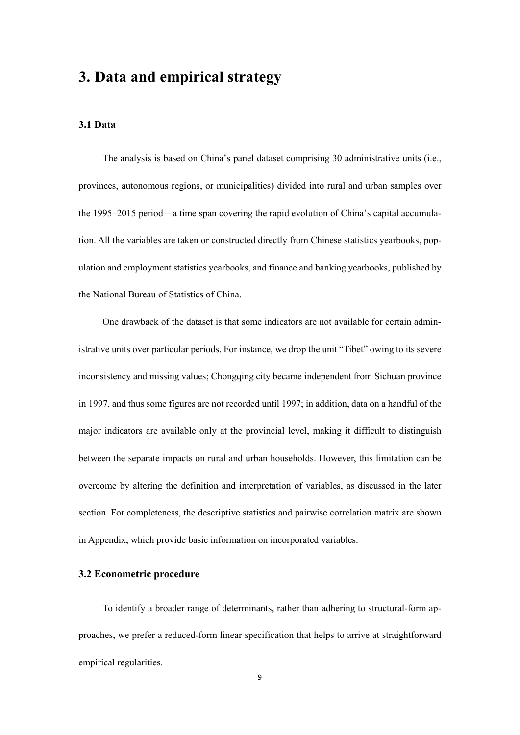### **3. Data and empirical strategy**

#### **3.1 Data**

The analysis is based on China's panel dataset comprising 30 administrative units (i.e., provinces, autonomous regions, or municipalities) divided into rural and urban samples over the 1995–2015 period—a time span covering the rapid evolution of China's capital accumulation. All the variables are taken or constructed directly from Chinese statistics yearbooks, population and employment statistics yearbooks, and finance and banking yearbooks, published by the National Bureau of Statistics of China.

One drawback of the dataset is that some indicators are not available for certain administrative units over particular periods. For instance, we drop the unit "Tibet" owing to its severe inconsistency and missing values; Chongqing city became independent from Sichuan province in 1997, and thus some figures are not recorded until 1997; in addition, data on a handful of the major indicators are available only at the provincial level, making it difficult to distinguish between the separate impacts on rural and urban households. However, this limitation can be overcome by altering the definition and interpretation of variables, as discussed in the later section. For completeness, the descriptive statistics and pairwise correlation matrix are shown in Appendix, which provide basic information on incorporated variables.

#### **3.2 Econometric procedure**

To identify a broader range of determinants, rather than adhering to structural-form approaches, we prefer a reduced-form linear specification that helps to arrive at straightforward empirical regularities.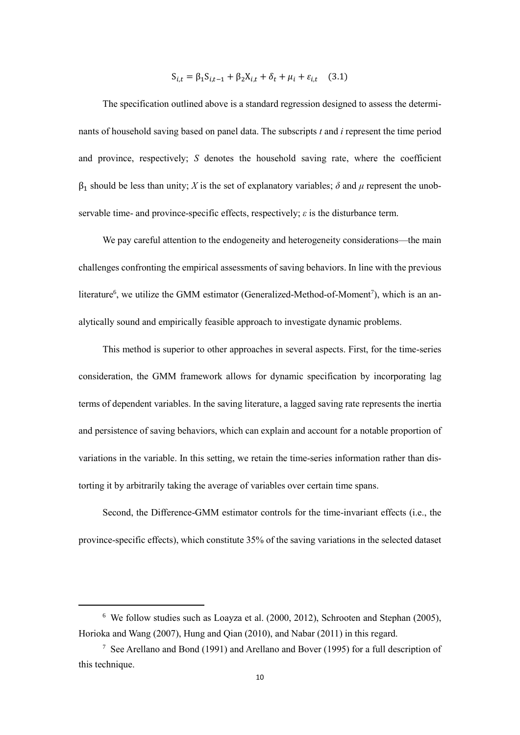$$
S_{i,t} = \beta_1 S_{i,t-1} + \beta_2 X_{i,t} + \delta_t + \mu_i + \varepsilon_{i,t} \quad (3.1)
$$

The specification outlined above is a standard regression designed to assess the determinants of household saving based on panel data. The subscripts *t* and *i* represent the time period and province, respectively; *S* denotes the household saving rate, where the coefficient  $β_1$  should be less than unity; *X* is the set of explanatory variables; *δ* and *μ* represent the unobservable time- and province-specific effects, respectively; *ε* is the disturbance term.

We pay careful attention to the endogeneity and heterogeneity considerations—the main challenges confronting the empirical assessments of saving behaviors. In line with the previous literature<sup>6</sup>, we utilize the GMM estimator (Generalized-Method-of-Moment<sup>7</sup>), which is an analytically sound and empirically feasible approach to investigate dynamic problems.

This method is superior to other approaches in several aspects. First, for the time-series consideration, the GMM framework allows for dynamic specification by incorporating lag terms of dependent variables. In the saving literature, a lagged saving rate represents the inertia and persistence of saving behaviors, which can explain and account for a notable proportion of variations in the variable. In this setting, we retain the time-series information rather than distorting it by arbitrarily taking the average of variables over certain time spans.

Second, the Difference-GMM estimator controls for the time-invariant effects (i.e., the province-specific effects), which constitute 35% of the saving variations in the selected dataset

<sup>6</sup> We follow studies such as Loayza et al. (2000, 2012), Schrooten and Stephan (2005), Horioka and Wang (2007), Hung and Qian (2010), and Nabar (2011) in this regard.

<sup>7</sup> See Arellano and Bond (1991) and Arellano and Bover (1995) for a full description of this technique.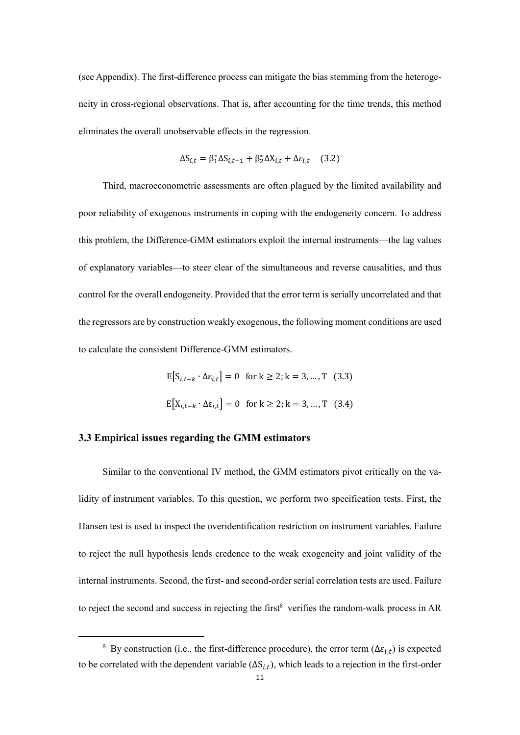(see Appendix). The first-difference process can mitigate the bias stemming from the heterogeneity in cross-regional observations. That is, after accounting for the time trends, this method eliminates the overall unobservable effects in the regression.

$$
\Delta S_{i,t} = \beta_1^* \Delta S_{i,t-1} + \beta_2^* \Delta X_{i,t} + \Delta \varepsilon_{i,t} \quad (3.2)
$$

Third, macroeconometric assessments are often plagued by the limited availability and poor reliability of exogenous instruments in coping with the endogeneity concern. To address this problem, the Difference-GMM estimators exploit the internal instruments—the lag values of explanatory variables—to steer clear of the simultaneous and reverse causalities, and thus control for the overall endogeneity. Provided that the error term is serially uncorrelated and that the regressors are by construction weakly exogenous, the following moment conditions are used to calculate the consistent Difference-GMM estimators.

$$
E[S_{i,t-k} \cdot \Delta \varepsilon_{i,t}] = 0 \text{ for } k \ge 2; k = 3, ..., T \quad (3.3)
$$
  

$$
E[X_{i,t-k} \cdot \Delta \varepsilon_{i,t}] = 0 \text{ for } k \ge 2; k = 3, ..., T \quad (3.4)
$$

#### **3.3 Empirical issues regarding the GMM estimators**

-

Similar to the conventional IV method, the GMM estimators pivot critically on the validity of instrument variables. To this question, we perform two specification tests. First, the Hansen test is used to inspect the overidentification restriction on instrument variables. Failure to reject the null hypothesis lends credence to the weak exogeneity and joint validity of the internal instruments. Second, the first- and second-order serial correlation tests are used. Failure to reject the second and success in rejecting the first<sup>8</sup> verifies the random-walk process in  $AR$ 

<sup>&</sup>lt;sup>8</sup> By construction (i.e., the first-difference procedure), the error term ( $\Delta \varepsilon_{i,t}$ ) is expected to be correlated with the dependent variable  $(\Delta S_{i,t})$ , which leads to a rejection in the first-order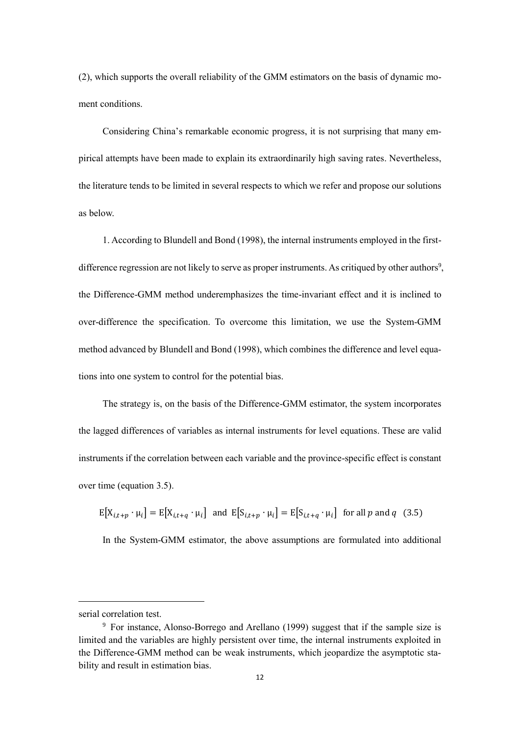(2), which supports the overall reliability of the GMM estimators on the basis of dynamic moment conditions.

Considering China's remarkable economic progress, it is not surprising that many empirical attempts have been made to explain its extraordinarily high saving rates. Nevertheless, the literature tends to be limited in several respects to which we refer and propose our solutions as below.

1. According to Blundell and Bond (1998), the internal instruments employed in the firstdifference regression are not likely to serve as proper instruments. As critiqued by other authors<sup>9</sup>, the Difference-GMM method underemphasizes the time-invariant effect and it is inclined to over-difference the specification. To overcome this limitation, we use the System-GMM method advanced by Blundell and Bond (1998), which combines the difference and level equations into one system to control for the potential bias.

The strategy is, on the basis of the Difference-GMM estimator, the system incorporates the lagged differences of variables as internal instruments for level equations. These are valid instruments if the correlation between each variable and the province-specific effect is constant over time (equation 3.5).

 $E[X_{i,t+p} \cdot \mu_i] = E[X_{i,t+q} \cdot \mu_i]$  and  $E[S_{i,t+p} \cdot \mu_i] = E[S_{i,t+q} \cdot \mu_i]$  for all p and q (3.5)

In the System-GMM estimator, the above assumptions are formulated into additional

serial correlation test.

<sup>9</sup> For instance, Alonso-Borrego and Arellano (1999) suggest that if the sample size is limited and the variables are highly persistent over time, the internal instruments exploited in the Difference-GMM method can be weak instruments, which jeopardize the asymptotic stability and result in estimation bias.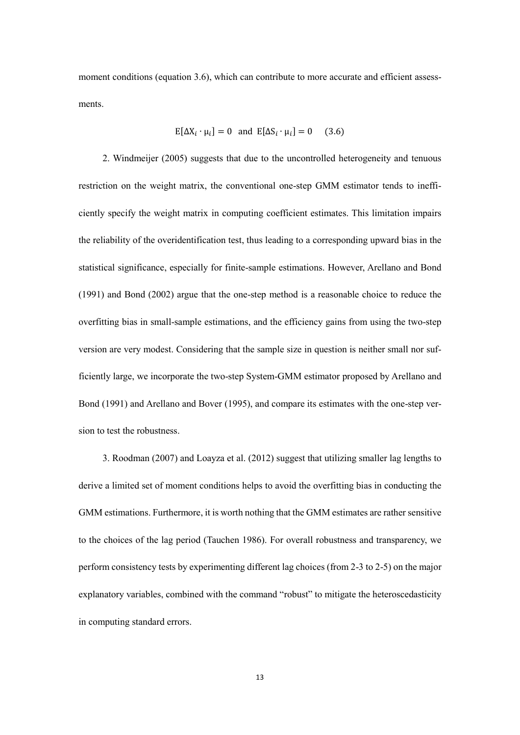moment conditions (equation 3.6), which can contribute to more accurate and efficient assessments.

$$
E[\Delta X_i \cdot \mu_i] = 0 \text{ and } E[\Delta S_i \cdot \mu_i] = 0 \quad (3.6)
$$

2. Windmeijer (2005) suggests that due to the uncontrolled heterogeneity and tenuous restriction on the weight matrix, the conventional one-step GMM estimator tends to inefficiently specify the weight matrix in computing coefficient estimates. This limitation impairs the reliability of the overidentification test, thus leading to a corresponding upward bias in the statistical significance, especially for finite-sample estimations. However, Arellano and Bond (1991) and Bond (2002) argue that the one-step method is a reasonable choice to reduce the overfitting bias in small-sample estimations, and the efficiency gains from using the two-step version are very modest. Considering that the sample size in question is neither small nor sufficiently large, we incorporate the two-step System-GMM estimator proposed by Arellano and Bond (1991) and Arellano and Bover (1995), and compare its estimates with the one-step version to test the robustness.

3. Roodman (2007) and Loayza et al. (2012) suggest that utilizing smaller lag lengths to derive a limited set of moment conditions helps to avoid the overfitting bias in conducting the GMM estimations. Furthermore, it is worth nothing that the GMM estimates are rather sensitive to the choices of the lag period (Tauchen 1986). For overall robustness and transparency, we perform consistency tests by experimenting different lag choices (from 2-3 to 2-5) on the major explanatory variables, combined with the command "robust" to mitigate the heteroscedasticity in computing standard errors.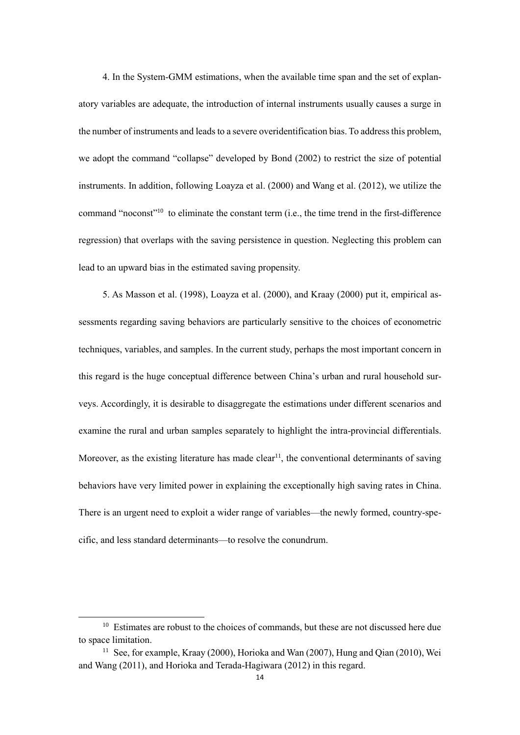4. In the System-GMM estimations, when the available time span and the set of explanatory variables are adequate, the introduction of internal instruments usually causes a surge in the number of instruments and leads to a severe overidentification bias. To address this problem, we adopt the command "collapse" developed by Bond (2002) to restrict the size of potential instruments. In addition, following Loayza et al. (2000) and Wang et al. (2012), we utilize the command "noconst"<sup>10</sup> to eliminate the constant term (i.e., the time trend in the first-difference regression) that overlaps with the saving persistence in question. Neglecting this problem can lead to an upward bias in the estimated saving propensity.

5. As Masson et al. (1998), Loayza et al. (2000), and Kraay (2000) put it, empirical assessments regarding saving behaviors are particularly sensitive to the choices of econometric techniques, variables, and samples. In the current study, perhaps the most important concern in this regard is the huge conceptual difference between China's urban and rural household surveys. Accordingly, it is desirable to disaggregate the estimations under different scenarios and examine the rural and urban samples separately to highlight the intra-provincial differentials. Moreover, as the existing literature has made clear<sup>11</sup>, the conventional determinants of saving behaviors have very limited power in explaining the exceptionally high saving rates in China. There is an urgent need to exploit a wider range of variables—the newly formed, country-specific, and less standard determinants—to resolve the conundrum.

<sup>&</sup>lt;sup>10</sup> Estimates are robust to the choices of commands, but these are not discussed here due to space limitation.

<sup>&</sup>lt;sup>11</sup> See, for example, Kraay (2000), Horioka and Wan (2007), Hung and Qian (2010), Wei and Wang (2011), and Horioka and Terada-Hagiwara (2012) in this regard.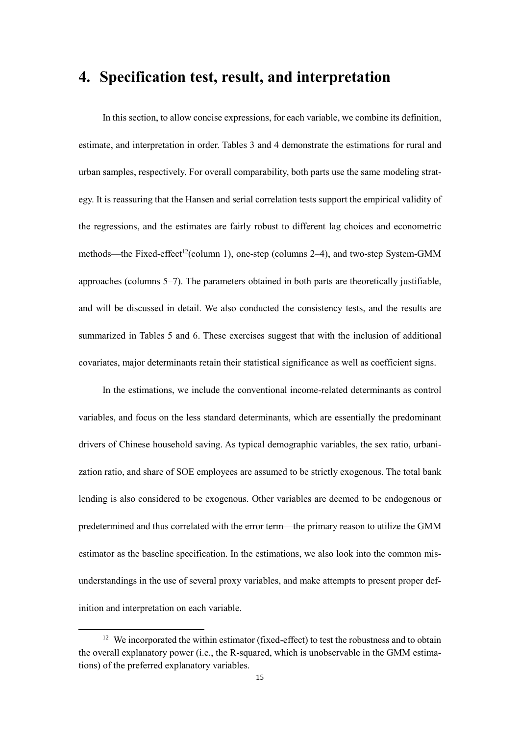### **4. Specification test, result, and interpretation**

In this section, to allow concise expressions, for each variable, we combine its definition, estimate, and interpretation in order. Tables 3 and 4 demonstrate the estimations for rural and urban samples, respectively. For overall comparability, both parts use the same modeling strategy. It is reassuring that the Hansen and serial correlation tests support the empirical validity of the regressions, and the estimates are fairly robust to different lag choices and econometric methods—the Fixed-effect<sup>12</sup>(column 1), one-step (columns 2–4), and two-step System-GMM approaches (columns 5–7). The parameters obtained in both parts are theoretically justifiable, and will be discussed in detail. We also conducted the consistency tests, and the results are summarized in Tables 5 and 6. These exercises suggest that with the inclusion of additional covariates, major determinants retain their statistical significance as well as coefficient signs.

In the estimations, we include the conventional income-related determinants as control variables, and focus on the less standard determinants, which are essentially the predominant drivers of Chinese household saving. As typical demographic variables, the sex ratio, urbanization ratio, and share of SOE employees are assumed to be strictly exogenous. The total bank lending is also considered to be exogenous. Other variables are deemed to be endogenous or predetermined and thus correlated with the error term—the primary reason to utilize the GMM estimator as the baseline specification. In the estimations, we also look into the common misunderstandings in the use of several proxy variables, and make attempts to present proper definition and interpretation on each variable.

<sup>&</sup>lt;sup>12</sup> We incorporated the within estimator (fixed-effect) to test the robustness and to obtain the overall explanatory power (i.e., the R-squared, which is unobservable in the GMM estimations) of the preferred explanatory variables.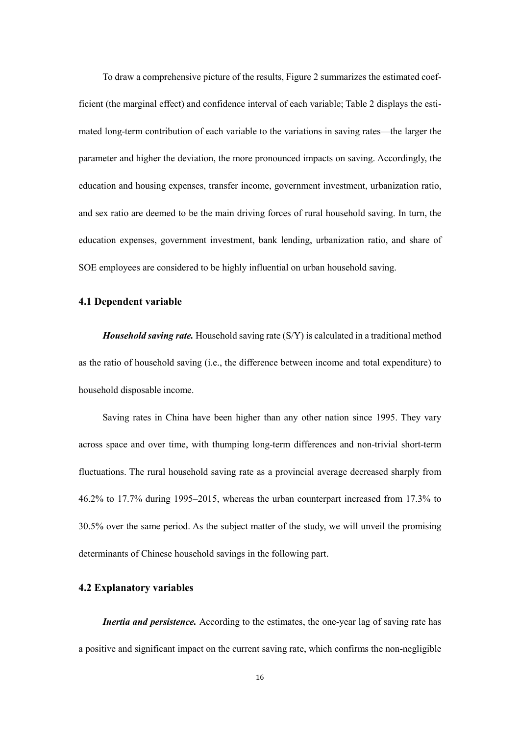To draw a comprehensive picture of the results, Figure 2 summarizes the estimated coefficient (the marginal effect) and confidence interval of each variable; Table 2 displays the estimated long-term contribution of each variable to the variations in saving rates—the larger the parameter and higher the deviation, the more pronounced impacts on saving. Accordingly, the education and housing expenses, transfer income, government investment, urbanization ratio, and sex ratio are deemed to be the main driving forces of rural household saving. In turn, the education expenses, government investment, bank lending, urbanization ratio, and share of SOE employees are considered to be highly influential on urban household saving.

#### **4.1 Dependent variable**

*Household saving rate.* Household saving rate (S/Y) is calculated in a traditional method as the ratio of household saving (i.e., the difference between income and total expenditure) to household disposable income.

Saving rates in China have been higher than any other nation since 1995. They vary across space and over time, with thumping long-term differences and non-trivial short-term fluctuations. The rural household saving rate as a provincial average decreased sharply from 46.2% to 17.7% during 1995–2015, whereas the urban counterpart increased from 17.3% to 30.5% over the same period. As the subject matter of the study, we will unveil the promising determinants of Chinese household savings in the following part.

#### **4.2 Explanatory variables**

*Inertia and persistence.* According to the estimates, the one-year lag of saving rate has a positive and significant impact on the current saving rate, which confirms the non-negligible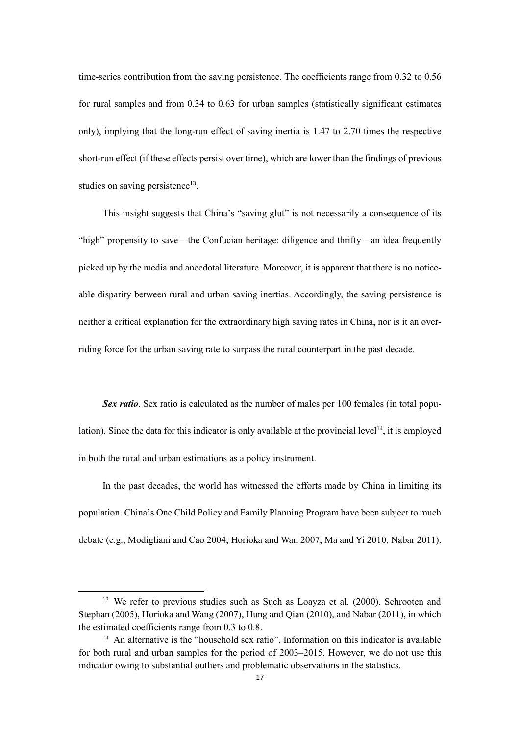time-series contribution from the saving persistence. The coefficients range from 0.32 to 0.56 for rural samples and from 0.34 to 0.63 for urban samples (statistically significant estimates only), implying that the long-run effect of saving inertia is 1.47 to 2.70 times the respective short-run effect (if these effects persist over time), which are lower than the findings of previous studies on saving persistence<sup>13</sup>.

This insight suggests that China's "saving glut" is not necessarily a consequence of its "high" propensity to save—the Confucian heritage: diligence and thrifty—an idea frequently picked up by the media and anecdotal literature. Moreover, it is apparent that there is no noticeable disparity between rural and urban saving inertias. Accordingly, the saving persistence is neither a critical explanation for the extraordinary high saving rates in China, nor is it an overriding force for the urban saving rate to surpass the rural counterpart in the past decade.

*Sex ratio*. Sex ratio is calculated as the number of males per 100 females (in total population). Since the data for this indicator is only available at the provincial level<sup>14</sup>, it is employed in both the rural and urban estimations as a policy instrument.

In the past decades, the world has witnessed the efforts made by China in limiting its population. China's One Child Policy and Family Planning Program have been subject to much debate (e.g., Modigliani and Cao 2004; Horioka and Wan 2007; Ma and Yi 2010; Nabar 2011).

<sup>&</sup>lt;sup>13</sup> We refer to previous studies such as Such as Loayza et al. (2000), Schrooten and Stephan (2005), Horioka and Wang (2007), Hung and Qian (2010), and Nabar (2011), in which the estimated coefficients range from 0.3 to 0.8.

<sup>&</sup>lt;sup>14</sup> An alternative is the "household sex ratio". Information on this indicator is available for both rural and urban samples for the period of 2003–2015. However, we do not use this indicator owing to substantial outliers and problematic observations in the statistics.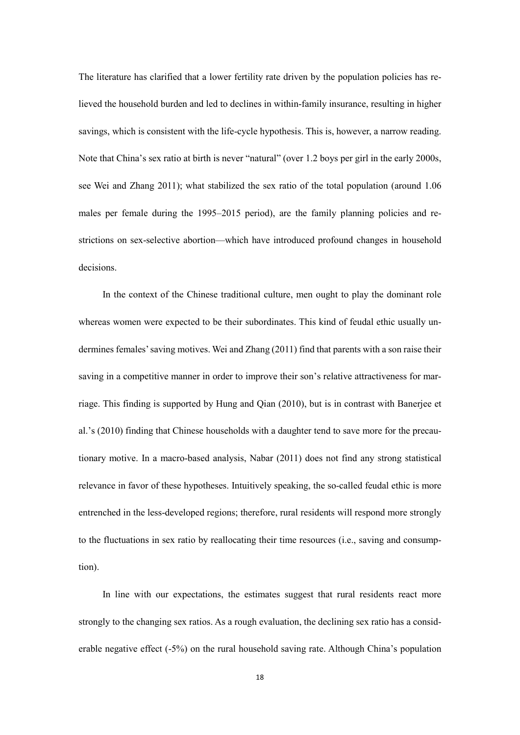The literature has clarified that a lower fertility rate driven by the population policies has relieved the household burden and led to declines in within-family insurance, resulting in higher savings, which is consistent with the life-cycle hypothesis. This is, however, a narrow reading. Note that China's sex ratio at birth is never "natural" (over 1.2 boys per girl in the early 2000s, see Wei and Zhang 2011); what stabilized the sex ratio of the total population (around 1.06 males per female during the 1995–2015 period), are the family planning policies and restrictions on sex-selective abortion—which have introduced profound changes in household decisions.

In the context of the Chinese traditional culture, men ought to play the dominant role whereas women were expected to be their subordinates. This kind of feudal ethic usually undermines females' saving motives. Wei and Zhang (2011) find that parents with a son raise their saving in a competitive manner in order to improve their son's relative attractiveness for marriage. This finding is supported by Hung and Qian (2010), but is in contrast with Banerjee et al.'s (2010) finding that Chinese households with a daughter tend to save more for the precautionary motive. In a macro-based analysis, Nabar (2011) does not find any strong statistical relevance in favor of these hypotheses. Intuitively speaking, the so-called feudal ethic is more entrenched in the less-developed regions; therefore, rural residents will respond more strongly to the fluctuations in sex ratio by reallocating their time resources (i.e., saving and consumption).

In line with our expectations, the estimates suggest that rural residents react more strongly to the changing sex ratios. As a rough evaluation, the declining sex ratio has a considerable negative effect (-5%) on the rural household saving rate. Although China's population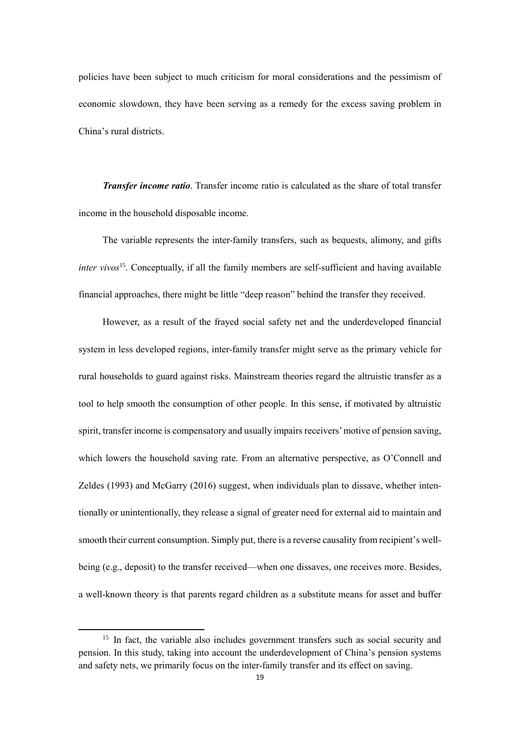policies have been subject to much criticism for moral considerations and the pessimism of economic slowdown, they have been serving as a remedy for the excess saving problem in China's rural districts.

*Transfer income ratio*. Transfer income ratio is calculated as the share of total transfer income in the household disposable income.

The variable represents the inter-family transfers, such as bequests, alimony, and gifts *inter vivos*<sup>15</sup> . Conceptually, if all the family members are self-sufficient and having available financial approaches, there might be little "deep reason" behind the transfer they received.

However, as a result of the frayed social safety net and the underdeveloped financial system in less developed regions, inter-family transfer might serve as the primary vehicle for rural households to guard against risks. Mainstream theories regard the altruistic transfer as a tool to help smooth the consumption of other people. In this sense, if motivated by altruistic spirit, transfer income is compensatory and usually impairs receivers' motive of pension saving, which lowers the household saving rate. From an alternative perspective, as O'Connell and Zeldes (1993) and McGarry (2016) suggest, when individuals plan to dissave, whether intentionally or unintentionally, they release a signal of greater need for external aid to maintain and smooth their current consumption. Simply put, there is a reverse causality from recipient's wellbeing (e.g., deposit) to the transfer received—when one dissaves, one receives more. Besides, a well-known theory is that parents regard children as a substitute means for asset and buffer

<sup>&</sup>lt;sup>15</sup> In fact, the variable also includes government transfers such as social security and pension. In this study, taking into account the underdevelopment of China's pension systems and safety nets, we primarily focus on the inter-family transfer and its effect on saving.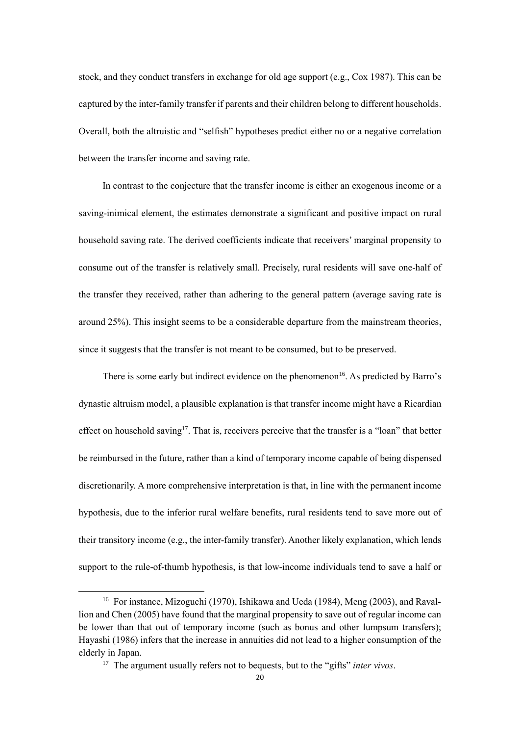stock, and they conduct transfers in exchange for old age support (e.g., Cox 1987). This can be captured by the inter-family transfer if parents and their children belong to different households. Overall, both the altruistic and "selfish" hypotheses predict either no or a negative correlation between the transfer income and saving rate.

In contrast to the conjecture that the transfer income is either an exogenous income or a saving-inimical element, the estimates demonstrate a significant and positive impact on rural household saving rate. The derived coefficients indicate that receivers' marginal propensity to consume out of the transfer is relatively small. Precisely, rural residents will save one-half of the transfer they received, rather than adhering to the general pattern (average saving rate is around 25%). This insight seems to be a considerable departure from the mainstream theories, since it suggests that the transfer is not meant to be consumed, but to be preserved.

There is some early but indirect evidence on the phenomenon<sup>16</sup>. As predicted by Barro's dynastic altruism model, a plausible explanation is that transfer income might have a Ricardian effect on household saving<sup>17</sup>. That is, receivers perceive that the transfer is a "loan" that better be reimbursed in the future, rather than a kind of temporary income capable of being dispensed discretionarily. A more comprehensive interpretation is that, in line with the permanent income hypothesis, due to the inferior rural welfare benefits, rural residents tend to save more out of their transitory income (e.g., the inter-family transfer). Another likely explanation, which lends support to the rule-of-thumb hypothesis, is that low-income individuals tend to save a half or

<sup>16</sup> For instance, Mizoguchi (1970), Ishikawa and Ueda (1984), Meng (2003), and Ravallion and Chen (2005) have found that the marginal propensity to save out of regular income can be lower than that out of temporary income (such as bonus and other lumpsum transfers); Hayashi (1986) infers that the increase in annuities did not lead to a higher consumption of the elderly in Japan.

<sup>17</sup> The argument usually refers not to bequests, but to the "gifts" *inter vivos*.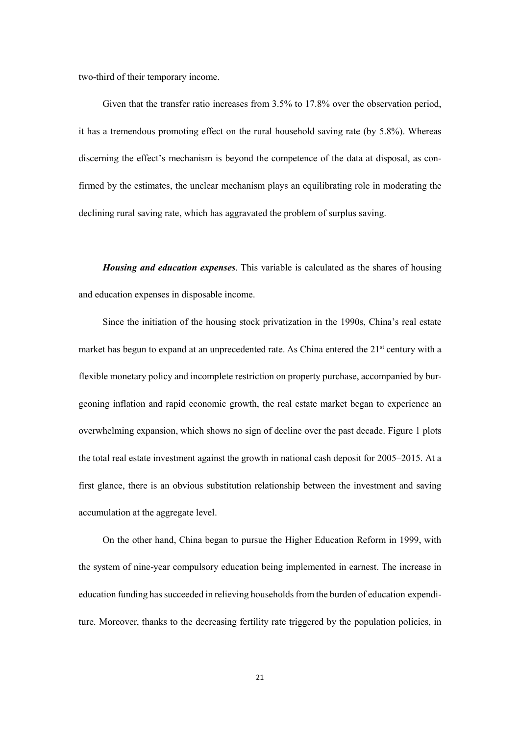two-third of their temporary income.

Given that the transfer ratio increases from 3.5% to 17.8% over the observation period, it has a tremendous promoting effect on the rural household saving rate (by 5.8%). Whereas discerning the effect's mechanism is beyond the competence of the data at disposal, as confirmed by the estimates, the unclear mechanism plays an equilibrating role in moderating the declining rural saving rate, which has aggravated the problem of surplus saving.

*Housing and education expenses*. This variable is calculated as the shares of housing and education expenses in disposable income.

Since the initiation of the housing stock privatization in the 1990s, China's real estate market has begun to expand at an unprecedented rate. As China entered the  $21<sup>st</sup>$  century with a flexible monetary policy and incomplete restriction on property purchase, accompanied by burgeoning inflation and rapid economic growth, the real estate market began to experience an overwhelming expansion, which shows no sign of decline over the past decade. Figure 1 plots the total real estate investment against the growth in national cash deposit for 2005–2015. At a first glance, there is an obvious substitution relationship between the investment and saving accumulation at the aggregate level.

On the other hand, China began to pursue the Higher Education Reform in 1999, with the system of nine-year compulsory education being implemented in earnest. The increase in education funding has succeeded in relieving households from the burden of education expenditure. Moreover, thanks to the decreasing fertility rate triggered by the population policies, in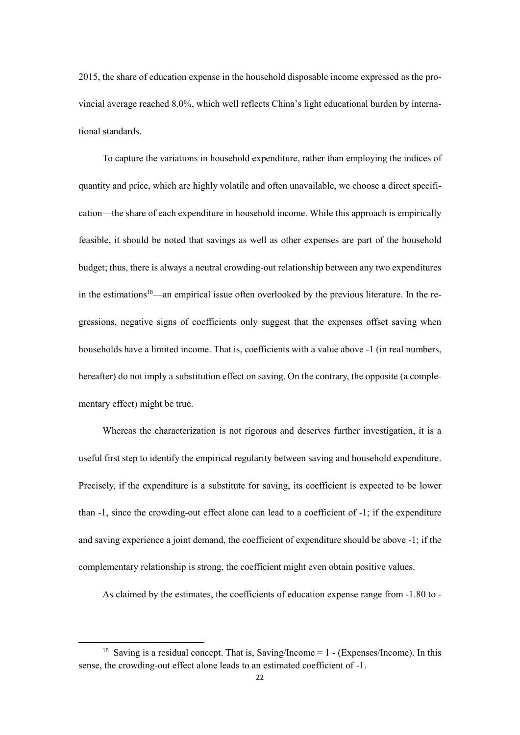2015, the share of education expense in the household disposable income expressed as the provincial average reached 8.0%, which well reflects China's light educational burden by international standards.

To capture the variations in household expenditure, rather than employing the indices of quantity and price, which are highly volatile and often unavailable, we choose a direct specification—the share of each expenditure in household income. While this approach is empirically feasible, it should be noted that savings as well as other expenses are part of the household budget; thus, there is always a neutral crowding-out relationship between any two expenditures in the estimations<sup>18</sup>—an empirical issue often overlooked by the previous literature. In the regressions, negative signs of coefficients only suggest that the expenses offset saving when households have a limited income. That is, coefficients with a value above -1 (in real numbers, hereafter) do not imply a substitution effect on saving. On the contrary, the opposite (a complementary effect) might be true.

Whereas the characterization is not rigorous and deserves further investigation, it is a useful first step to identify the empirical regularity between saving and household expenditure. Precisely, if the expenditure is a substitute for saving, its coefficient is expected to be lower than -1, since the crowding-out effect alone can lead to a coefficient of -1; if the expenditure and saving experience a joint demand, the coefficient of expenditure should be above -1; if the complementary relationship is strong, the coefficient might even obtain positive values.

As claimed by the estimates, the coefficients of education expense range from -1.80 to -

**.** 

<sup>&</sup>lt;sup>18</sup> Saving is a residual concept. That is, Saving/Income =  $1 - (Express/ Income)$ . In this sense, the crowding-out effect alone leads to an estimated coefficient of -1.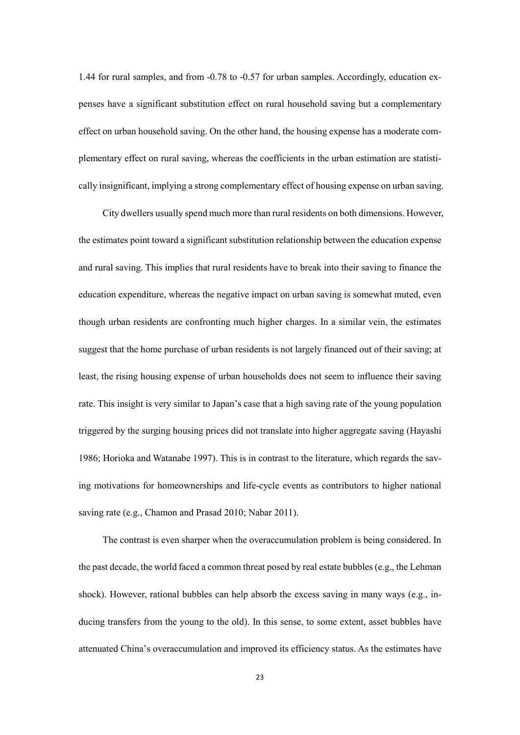1.44 for rural samples, and from -0.78 to -0.57 for urban samples. Accordingly, education expenses have a significant substitution effect on rural household saving but a complementary effect on urban household saving. On the other hand, the housing expense has a moderate complementary effect on rural saving, whereas the coefficients in the urban estimation are statistically insignificant, implying a strong complementary effect of housing expense on urban saving.

City dwellers usually spend much more than rural residents on both dimensions. However, the estimates point toward a significant substitution relationship between the education expense and rural saving. This implies that rural residents have to break into their saving to finance the education expenditure, whereas the negative impact on urban saving is somewhat muted, even though urban residents are confronting much higher charges. In a similar vein, the estimates suggest that the home purchase of urban residents is not largely financed out of their saving; at least, the rising housing expense of urban households does not seem to influence their saving rate. This insight is very similar to Japan's case that a high saving rate of the young population triggered by the surging housing prices did not translate into higher aggregate saving (Hayashi 1986; Horioka and Watanabe 1997). This is in contrast to the literature, which regards the saving motivations for homeownerships and life-cycle events as contributors to higher national saving rate (e.g., Chamon and Prasad 2010; Nabar 2011).

The contrast is even sharper when the overaccumulation problem is being considered. In the past decade, the world faced a common threat posed by real estate bubbles (e.g., the Lehman shock). However, rational bubbles can help absorb the excess saving in many ways (e.g., inducing transfers from the young to the old). In this sense, to some extent, asset bubbles have attenuated China's overaccumulation and improved its efficiency status. As the estimates have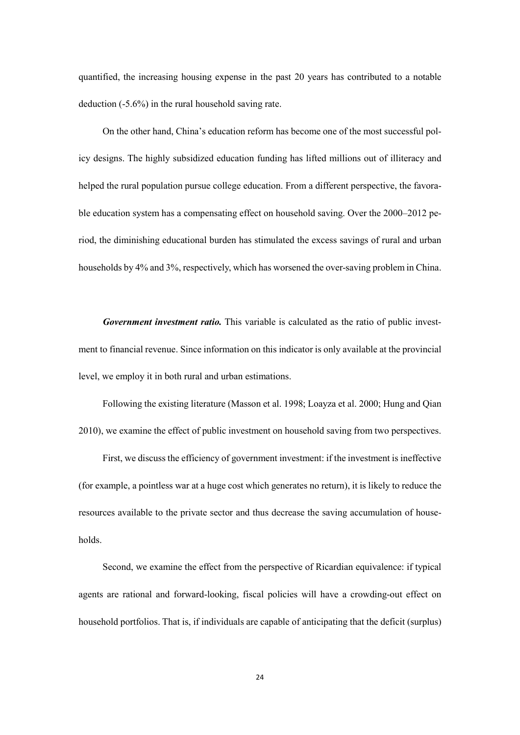quantified, the increasing housing expense in the past 20 years has contributed to a notable deduction (-5.6%) in the rural household saving rate.

On the other hand, China's education reform has become one of the most successful policy designs. The highly subsidized education funding has lifted millions out of illiteracy and helped the rural population pursue college education. From a different perspective, the favorable education system has a compensating effect on household saving. Over the 2000–2012 period, the diminishing educational burden has stimulated the excess savings of rural and urban households by 4% and 3%, respectively, which has worsened the over-saving problem in China.

*Government investment ratio.* This variable is calculated as the ratio of public investment to financial revenue. Since information on this indicator is only available at the provincial level, we employ it in both rural and urban estimations.

Following the existing literature (Masson et al. 1998; Loayza et al. 2000; Hung and Qian 2010), we examine the effect of public investment on household saving from two perspectives.

First, we discuss the efficiency of government investment: if the investment is ineffective (for example, a pointless war at a huge cost which generates no return), it is likely to reduce the resources available to the private sector and thus decrease the saving accumulation of households.

Second, we examine the effect from the perspective of Ricardian equivalence: if typical agents are rational and forward-looking, fiscal policies will have a crowding-out effect on household portfolios. That is, if individuals are capable of anticipating that the deficit (surplus)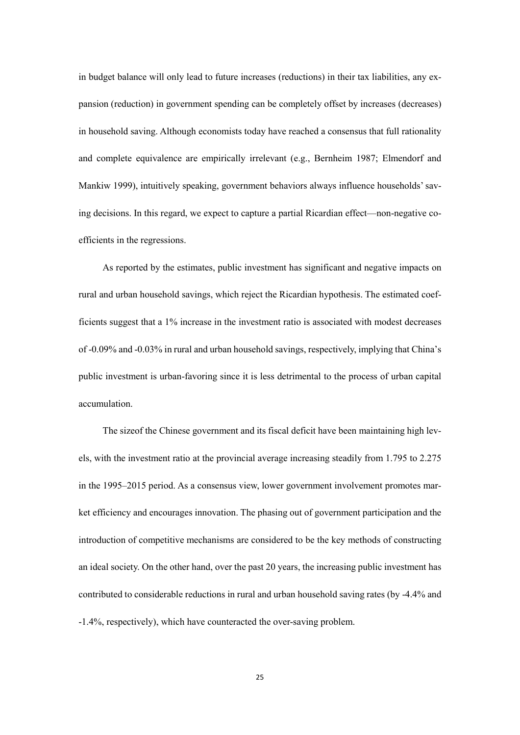in budget balance will only lead to future increases (reductions) in their tax liabilities, any expansion (reduction) in government spending can be completely offset by increases (decreases) in household saving. Although economists today have reached a consensus that full rationality and complete equivalence are empirically irrelevant (e.g., Bernheim 1987; Elmendorf and Mankiw 1999), intuitively speaking, government behaviors always influence households' saving decisions. In this regard, we expect to capture a partial Ricardian effect—non-negative coefficients in the regressions.

As reported by the estimates, public investment has significant and negative impacts on rural and urban household savings, which reject the Ricardian hypothesis. The estimated coefficients suggest that a 1% increase in the investment ratio is associated with modest decreases of -0.09% and -0.03% in rural and urban household savings, respectively, implying that China's public investment is urban-favoring since it is less detrimental to the process of urban capital accumulation.

The sizeof the Chinese government and its fiscal deficit have been maintaining high levels, with the investment ratio at the provincial average increasing steadily from 1.795 to 2.275 in the 1995–2015 period. As a consensus view, lower government involvement promotes market efficiency and encourages innovation. The phasing out of government participation and the introduction of competitive mechanisms are considered to be the key methods of constructing an ideal society. On the other hand, over the past 20 years, the increasing public investment has contributed to considerable reductions in rural and urban household saving rates (by -4.4% and -1.4%, respectively), which have counteracted the over-saving problem.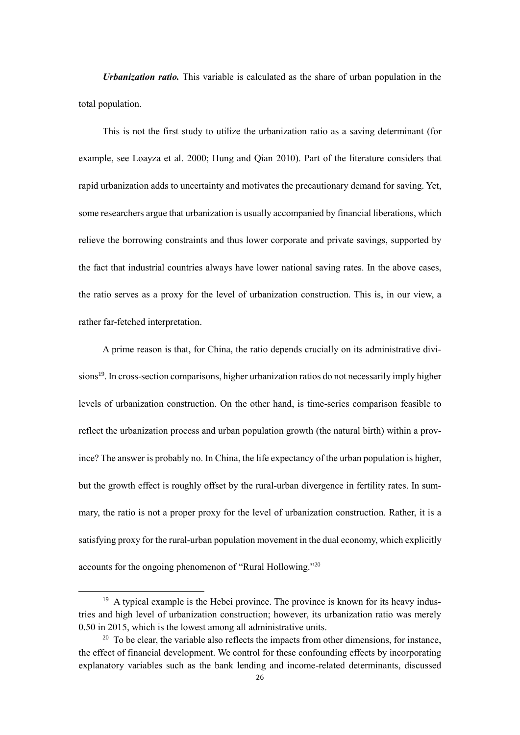*Urbanization ratio.* This variable is calculated as the share of urban population in the total population.

This is not the first study to utilize the urbanization ratio as a saving determinant (for example, see Loayza et al. 2000; Hung and Qian 2010). Part of the literature considers that rapid urbanization adds to uncertainty and motivates the precautionary demand for saving. Yet, some researchers argue that urbanization is usually accompanied by financial liberations, which relieve the borrowing constraints and thus lower corporate and private savings, supported by the fact that industrial countries always have lower national saving rates. In the above cases, the ratio serves as a proxy for the level of urbanization construction. This is, in our view, a rather far-fetched interpretation.

A prime reason is that, for China, the ratio depends crucially on its administrative divisions<sup>19</sup>. In cross-section comparisons, higher urbanization ratios do not necessarily imply higher levels of urbanization construction. On the other hand, is time-series comparison feasible to reflect the urbanization process and urban population growth (the natural birth) within a province? The answer is probably no. In China, the life expectancy of the urban population is higher, but the growth effect is roughly offset by the rural-urban divergence in fertility rates. In summary, the ratio is not a proper proxy for the level of urbanization construction. Rather, it is a satisfying proxy for the rural-urban population movement in the dual economy, which explicitly accounts for the ongoing phenomenon of "Rural Hollowing."<sup>20</sup>

 $19$  A typical example is the Hebei province. The province is known for its heavy industries and high level of urbanization construction; however, its urbanization ratio was merely 0.50 in 2015, which is the lowest among all administrative units.

 $20\degree$  To be clear, the variable also reflects the impacts from other dimensions, for instance, the effect of financial development. We control for these confounding effects by incorporating explanatory variables such as the bank lending and income-related determinants, discussed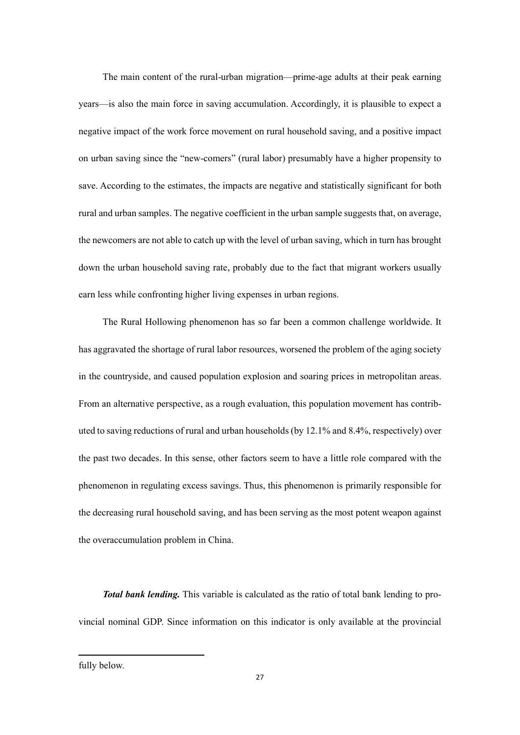The main content of the rural-urban migration—prime-age adults at their peak earning years—is also the main force in saving accumulation. Accordingly, it is plausible to expect a negative impact of the work force movement on rural household saving, and a positive impact on urban saving since the "new-comers" (rural labor) presumably have a higher propensity to save. According to the estimates, the impacts are negative and statistically significant for both rural and urban samples. The negative coefficient in the urban sample suggests that, on average, the newcomers are not able to catch up with the level of urban saving, which in turn has brought down the urban household saving rate, probably due to the fact that migrant workers usually earn less while confronting higher living expenses in urban regions.

The Rural Hollowing phenomenon has so far been a common challenge worldwide. It has aggravated the shortage of rural labor resources, worsened the problem of the aging society in the countryside, and caused population explosion and soaring prices in metropolitan areas. From an alternative perspective, as a rough evaluation, this population movement has contributed to saving reductions of rural and urban households (by 12.1% and 8.4%, respectively) over the past two decades. In this sense, other factors seem to have a little role compared with the phenomenon in regulating excess savings. Thus, this phenomenon is primarily responsible for the decreasing rural household saving, and has been serving as the most potent weapon against the overaccumulation problem in China.

*Total bank lending.* This variable is calculated as the ratio of total bank lending to provincial nominal GDP. Since information on this indicator is only available at the provincial

fully below.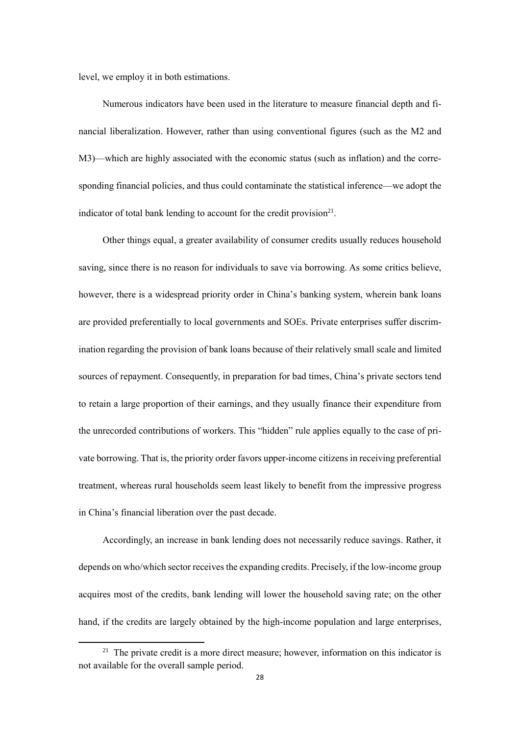level, we employ it in both estimations.

Numerous indicators have been used in the literature to measure financial depth and financial liberalization. However, rather than using conventional figures (such as the M2 and M3)—which are highly associated with the economic status (such as inflation) and the corresponding financial policies, and thus could contaminate the statistical inference—we adopt the indicator of total bank lending to account for the credit provision $2<sup>1</sup>$ .

Other things equal, a greater availability of consumer credits usually reduces household saving, since there is no reason for individuals to save via borrowing. As some critics believe, however, there is a widespread priority order in China's banking system, wherein bank loans are provided preferentially to local governments and SOEs. Private enterprises suffer discrimination regarding the provision of bank loans because of their relatively small scale and limited sources of repayment. Consequently, in preparation for bad times, China's private sectors tend to retain a large proportion of their earnings, and they usually finance their expenditure from the unrecorded contributions of workers. This "hidden" rule applies equally to the case of private borrowing. That is, the priority order favors upper-income citizens in receiving preferential treatment, whereas rural households seem least likely to benefit from the impressive progress in China's financial liberation over the past decade.

Accordingly, an increase in bank lending does not necessarily reduce savings. Rather, it depends on who/which sector receives the expanding credits. Precisely, if the low-income group acquires most of the credits, bank lending will lower the household saving rate; on the other hand, if the credits are largely obtained by the high-income population and large enterprises,

**.** 

 $21$  The private credit is a more direct measure; however, information on this indicator is not available for the overall sample period.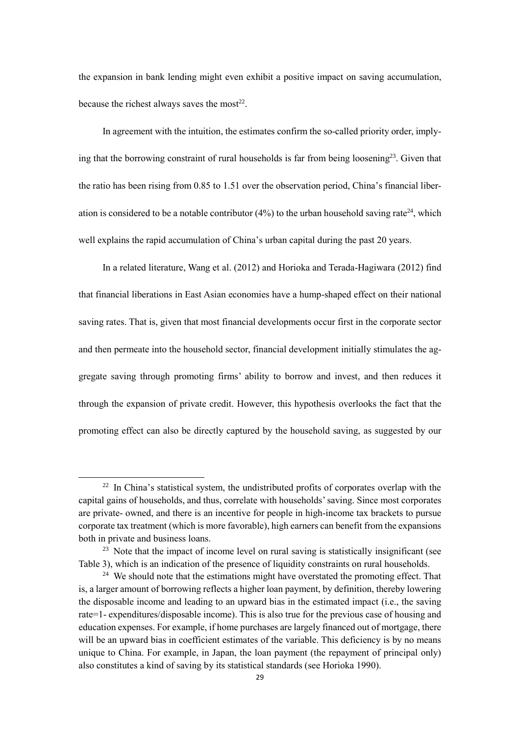the expansion in bank lending might even exhibit a positive impact on saving accumulation, because the richest always saves the most $^{22}$ .

In agreement with the intuition, the estimates confirm the so-called priority order, implying that the borrowing constraint of rural households is far from being loosening<sup>23</sup>. Given that the ratio has been rising from 0.85 to 1.51 over the observation period, China's financial liberation is considered to be a notable contributor (4%) to the urban household saving rate<sup>24</sup>, which well explains the rapid accumulation of China's urban capital during the past 20 years.

In a related literature, Wang et al. (2012) and Horioka and Terada-Hagiwara (2012) find that financial liberations in East Asian economies have a hump-shaped effect on their national saving rates. That is, given that most financial developments occur first in the corporate sector and then permeate into the household sector, financial development initially stimulates the aggregate saving through promoting firms' ability to borrow and invest, and then reduces it through the expansion of private credit. However, this hypothesis overlooks the fact that the promoting effect can also be directly captured by the household saving, as suggested by our

 $22$  In China's statistical system, the undistributed profits of corporates overlap with the capital gains of households, and thus, correlate with households' saving. Since most corporates are private- owned, and there is an incentive for people in high-income tax brackets to pursue corporate tax treatment (which is more favorable), high earners can benefit from the expansions both in private and business loans.

 $23$  Note that the impact of income level on rural saving is statistically insignificant (see Table 3), which is an indication of the presence of liquidity constraints on rural households.

<sup>&</sup>lt;sup>24</sup> We should note that the estimations might have overstated the promoting effect. That is, a larger amount of borrowing reflects a higher loan payment, by definition, thereby lowering the disposable income and leading to an upward bias in the estimated impact (i.e., the saving rate=1- expenditures/disposable income). This is also true for the previous case of housing and education expenses. For example, if home purchases are largely financed out of mortgage, there will be an upward bias in coefficient estimates of the variable. This deficiency is by no means unique to China. For example, in Japan, the loan payment (the repayment of principal only) also constitutes a kind of saving by its statistical standards (see Horioka 1990).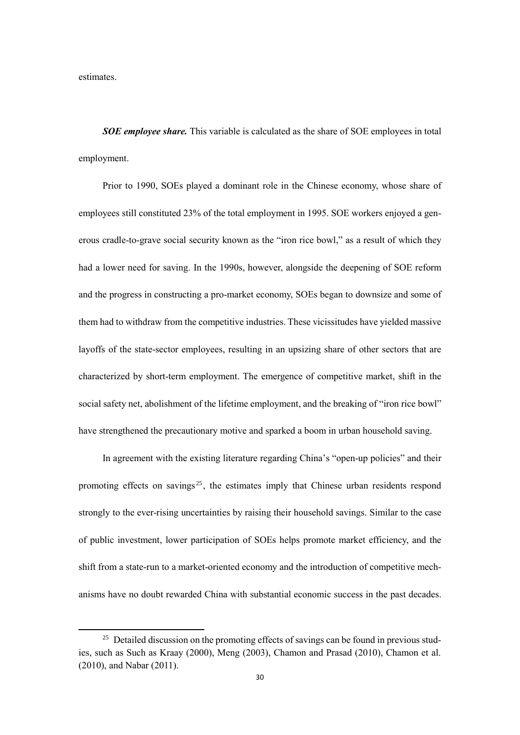estimates.

-

*SOE employee share.* This variable is calculated as the share of SOE employees in total employment.

Prior to 1990, SOEs played a dominant role in the Chinese economy, whose share of employees still constituted 23% of the total employment in 1995. SOE workers enjoyed a generous cradle-to-grave social security known as the "iron rice bowl," as a result of which they had a lower need for saving. In the 1990s, however, alongside the deepening of SOE reform and the progress in constructing a pro-market economy, SOEs began to downsize and some of them had to withdraw from the competitive industries. These vicissitudes have yielded massive layoffs of the state-sector employees, resulting in an upsizing share of other sectors that are characterized by short-term employment. The emergence of competitive market, shift in the social safety net, abolishment of the lifetime employment, and the breaking of "iron rice bowl" have strengthened the precautionary motive and sparked a boom in urban household saving.

In agreement with the existing literature regarding China's "open-up policies" and their promoting effects on savings<sup>25</sup>, the estimates imply that Chinese urban residents respond strongly to the ever-rising uncertainties by raising their household savings. Similar to the case of public investment, lower participation of SOEs helps promote market efficiency, and the shift from a state-run to a market-oriented economy and the introduction of competitive mechanisms have no doubt rewarded China with substantial economic success in the past decades.

<sup>&</sup>lt;sup>25</sup> Detailed discussion on the promoting effects of savings can be found in previous studies, such as Such as Kraay (2000), Meng (2003), Chamon and Prasad (2010), Chamon et al. (2010), and Nabar (2011).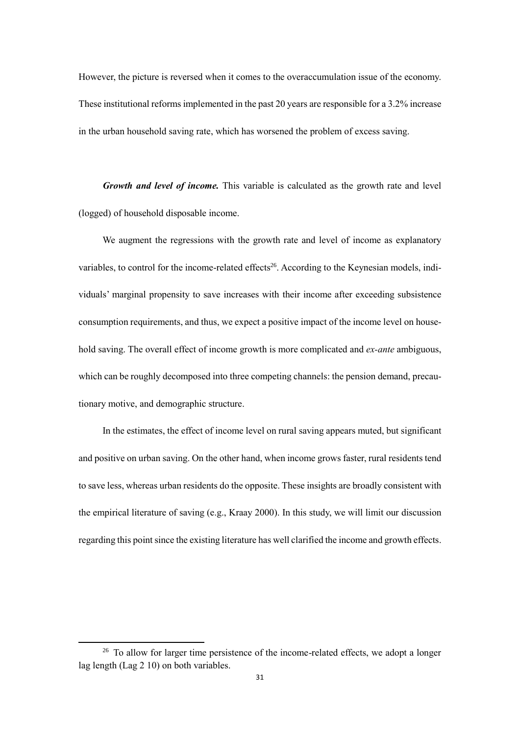However, the picture is reversed when it comes to the overaccumulation issue of the economy. These institutional reforms implemented in the past 20 years are responsible for a 3.2% increase in the urban household saving rate, which has worsened the problem of excess saving.

*Growth and level of income.* This variable is calculated as the growth rate and level (logged) of household disposable income.

We augment the regressions with the growth rate and level of income as explanatory variables, to control for the income-related effects<sup>26</sup>. According to the Keynesian models, individuals' marginal propensity to save increases with their income after exceeding subsistence consumption requirements, and thus, we expect a positive impact of the income level on household saving. The overall effect of income growth is more complicated and *ex-ante* ambiguous, which can be roughly decomposed into three competing channels: the pension demand, precautionary motive, and demographic structure.

In the estimates, the effect of income level on rural saving appears muted, but significant and positive on urban saving. On the other hand, when income grows faster, rural residents tend to save less, whereas urban residents do the opposite. These insights are broadly consistent with the empirical literature of saving (e.g., Kraay 2000). In this study, we will limit our discussion regarding this point since the existing literature has well clarified the income and growth effects.

**.** 

<sup>&</sup>lt;sup>26</sup> To allow for larger time persistence of the income-related effects, we adopt a longer lag length (Lag 2 10) on both variables.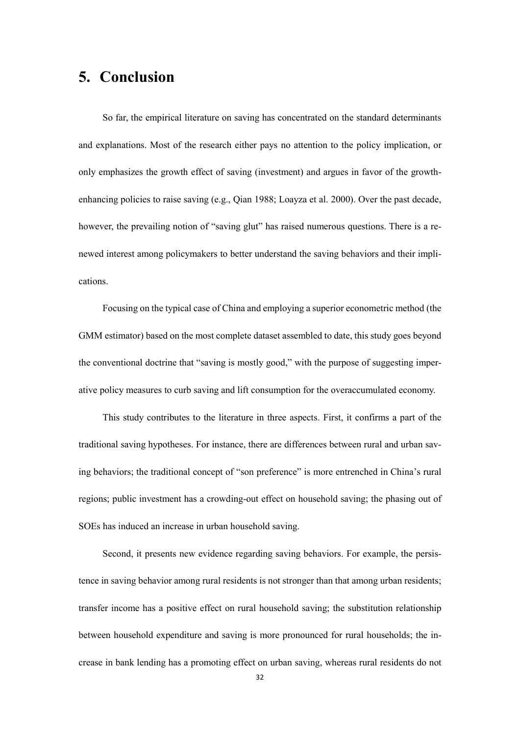## **5. Conclusion**

So far, the empirical literature on saving has concentrated on the standard determinants and explanations. Most of the research either pays no attention to the policy implication, or only emphasizes the growth effect of saving (investment) and argues in favor of the growthenhancing policies to raise saving (e.g., Qian 1988; Loayza et al. 2000). Over the past decade, however, the prevailing notion of "saving glut" has raised numerous questions. There is a renewed interest among policymakers to better understand the saving behaviors and their implications.

Focusing on the typical case of China and employing a superior econometric method (the GMM estimator) based on the most complete dataset assembled to date, this study goes beyond the conventional doctrine that "saving is mostly good," with the purpose of suggesting imperative policy measures to curb saving and lift consumption for the overaccumulated economy.

This study contributes to the literature in three aspects. First, it confirms a part of the traditional saving hypotheses. For instance, there are differences between rural and urban saving behaviors; the traditional concept of "son preference" is more entrenched in China's rural regions; public investment has a crowding-out effect on household saving; the phasing out of SOEs has induced an increase in urban household saving.

Second, it presents new evidence regarding saving behaviors. For example, the persistence in saving behavior among rural residents is not stronger than that among urban residents; transfer income has a positive effect on rural household saving; the substitution relationship between household expenditure and saving is more pronounced for rural households; the increase in bank lending has a promoting effect on urban saving, whereas rural residents do not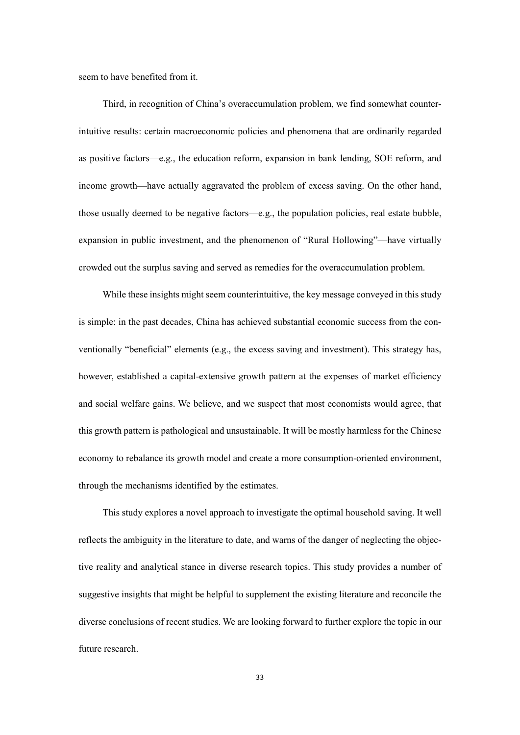seem to have benefited from it.

Third, in recognition of China's overaccumulation problem, we find somewhat counterintuitive results: certain macroeconomic policies and phenomena that are ordinarily regarded as positive factors—e.g., the education reform, expansion in bank lending, SOE reform, and income growth—have actually aggravated the problem of excess saving. On the other hand, those usually deemed to be negative factors—e.g., the population policies, real estate bubble, expansion in public investment, and the phenomenon of "Rural Hollowing"—have virtually crowded out the surplus saving and served as remedies for the overaccumulation problem.

While these insights might seem counterintuitive, the key message conveyed in this study is simple: in the past decades, China has achieved substantial economic success from the conventionally "beneficial" elements (e.g., the excess saving and investment). This strategy has, however, established a capital-extensive growth pattern at the expenses of market efficiency and social welfare gains. We believe, and we suspect that most economists would agree, that this growth pattern is pathological and unsustainable. It will be mostly harmless for the Chinese economy to rebalance its growth model and create a more consumption-oriented environment, through the mechanisms identified by the estimates.

This study explores a novel approach to investigate the optimal household saving. It well reflects the ambiguity in the literature to date, and warns of the danger of neglecting the objective reality and analytical stance in diverse research topics. This study provides a number of suggestive insights that might be helpful to supplement the existing literature and reconcile the diverse conclusions of recent studies. We are looking forward to further explore the topic in our future research.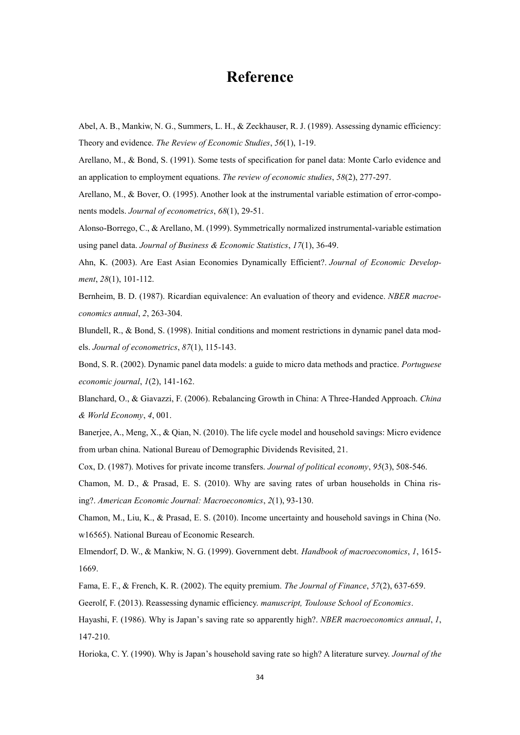### **Reference**

Abel, A. B., Mankiw, N. G., Summers, L. H., & Zeckhauser, R. J. (1989). Assessing dynamic efficiency: Theory and evidence. *The Review of Economic Studies*, *56*(1), 1-19.

Arellano, M., & Bond, S. (1991). Some tests of specification for panel data: Monte Carlo evidence and an application to employment equations. *The review of economic studies*, *58*(2), 277-297.

Arellano, M., & Bover, O. (1995). Another look at the instrumental variable estimation of error-components models. *Journal of econometrics*, *68*(1), 29-51.

Alonso-Borrego, C., & Arellano, M. (1999). Symmetrically normalized instrumental-variable estimation using panel data. *Journal of Business & Economic Statistics*, *17*(1), 36-49.

Ahn, K. (2003). Are East Asian Economies Dynamically Efficient?. *Journal of Economic Development*, *28*(1), 101-112.

Bernheim, B. D. (1987). Ricardian equivalence: An evaluation of theory and evidence. *NBER macroeconomics annual*, *2*, 263-304.

Blundell, R., & Bond, S. (1998). Initial conditions and moment restrictions in dynamic panel data models. *Journal of econometrics*, *87*(1), 115-143.

Bond, S. R. (2002). Dynamic panel data models: a guide to micro data methods and practice. *Portuguese economic journal*, *1*(2), 141-162.

Blanchard, O., & Giavazzi, F. (2006). Rebalancing Growth in China: A Three-Handed Approach. *China & World Economy*, *4*, 001.

Banerjee, A., Meng, X., & Qian, N. (2010). The life cycle model and household savings: Micro evidence from urban china. National Bureau of Demographic Dividends Revisited, 21.

Cox, D. (1987). Motives for private income transfers. *Journal of political economy*, *95*(3), 508-546.

Chamon, M. D., & Prasad, E. S. (2010). Why are saving rates of urban households in China rising?. *American Economic Journal: Macroeconomics*, *2*(1), 93-130.

Chamon, M., Liu, K., & Prasad, E. S. (2010). Income uncertainty and household savings in China (No. w16565). National Bureau of Economic Research.

Elmendorf, D. W., & Mankiw, N. G. (1999). Government debt. *Handbook of macroeconomics*, *1*, 1615- 1669.

Fama, E. F., & French, K. R. (2002). The equity premium. *The Journal of Finance*, *57*(2), 637-659.

Geerolf, F. (2013). Reassessing dynamic efficiency. *manuscript, Toulouse School of Economics*.

Hayashi, F. (1986). Why is Japan's saving rate so apparently high?. *NBER macroeconomics annual*, *1*, 147-210.

Horioka, C. Y. (1990). Why is Japan's household saving rate so high? A literature survey. *Journal of the*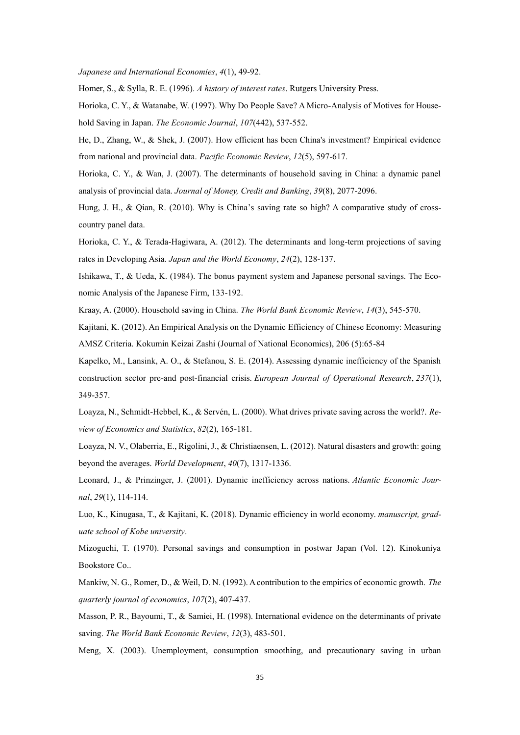*Japanese and International Economies*, *4*(1), 49-92.

Homer, S., & Sylla, R. E. (1996). *A history of interest rates*. Rutgers University Press.

Horioka, C. Y., & Watanabe, W. (1997). Why Do People Save? A Micro-Analysis of Motives for Household Saving in Japan. *The Economic Journal*, *107*(442), 537-552.

He, D., Zhang, W., & Shek, J. (2007). How efficient has been China's investment? Empirical evidence from national and provincial data. *Pacific Economic Review*, *12*(5), 597-617.

Horioka, C. Y., & Wan, J. (2007). The determinants of household saving in China: a dynamic panel analysis of provincial data. *Journal of Money, Credit and Banking*, *39*(8), 2077-2096.

Hung, J. H., & Qian, R. (2010). Why is China's saving rate so high? A comparative study of crosscountry panel data.

Horioka, C. Y., & Terada-Hagiwara, A. (2012). The determinants and long-term projections of saving rates in Developing Asia. *Japan and the World Economy*, *24*(2), 128-137.

Ishikawa, T., & Ueda, K. (1984). The bonus payment system and Japanese personal savings. The Economic Analysis of the Japanese Firm, 133-192.

Kraay, A. (2000). Household saving in China. *The World Bank Economic Review*, *14*(3), 545-570.

Kajitani, K. (2012). An Empirical Analysis on the Dynamic Efficiency of Chinese Economy: Measuring AMSZ Criteria. Kokumin Keizai Zashi (Journal of National Economics), 206 (5):65-84

Kapelko, M., Lansink, A. O., & Stefanou, S. E. (2014). Assessing dynamic inefficiency of the Spanish construction sector pre-and post-financial crisis. *European Journal of Operational Research*, *237*(1), 349-357.

Loayza, N., Schmidt-Hebbel, K., & Servén, L. (2000). What drives private saving across the world?. *Review of Economics and Statistics*, *82*(2), 165-181.

Loayza, N. V., Olaberria, E., Rigolini, J., & Christiaensen, L. (2012). Natural disasters and growth: going beyond the averages. *World Development*, *40*(7), 1317-1336.

Leonard, J., & Prinzinger, J. (2001). Dynamic inefficiency across nations. *Atlantic Economic Journal*, *29*(1), 114-114.

Luo, K., Kinugasa, T., & Kajitani, K. (2018). Dynamic efficiency in world economy. *manuscript, graduate school of Kobe university*.

Mizoguchi, T. (1970). Personal savings and consumption in postwar Japan (Vol. 12). Kinokuniya Bookstore Co..

Mankiw, N. G., Romer, D., & Weil, D. N. (1992). A contribution to the empirics of economic growth. *The quarterly journal of economics*, *107*(2), 407-437.

Masson, P. R., Bayoumi, T., & Samiei, H. (1998). International evidence on the determinants of private saving. *The World Bank Economic Review*, *12*(3), 483-501.

Meng, X. (2003). Unemployment, consumption smoothing, and precautionary saving in urban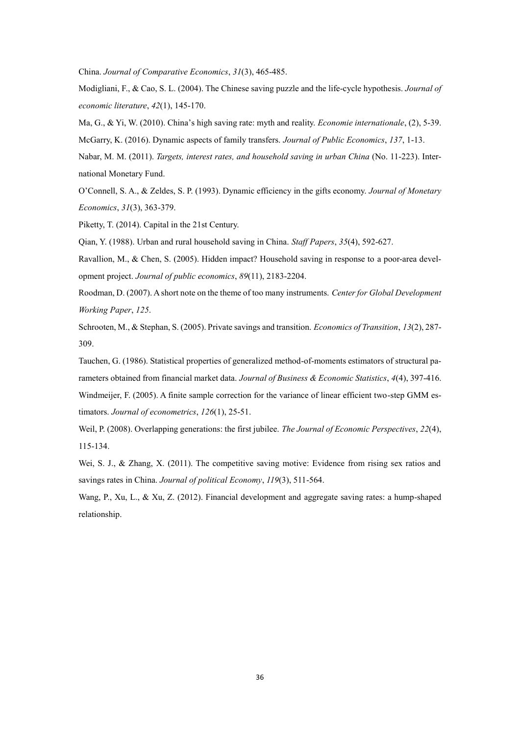China. *Journal of Comparative Economics*, *31*(3), 465-485.

Modigliani, F., & Cao, S. L. (2004). The Chinese saving puzzle and the life-cycle hypothesis. *Journal of economic literature*, *42*(1), 145-170.

Ma, G., & Yi, W. (2010). China's high saving rate: myth and reality. *Economie internationale*, (2), 5-39.

McGarry, K. (2016). Dynamic aspects of family transfers. *Journal of Public Economics*, *137*, 1-13.

Nabar, M. M. (2011). *Targets, interest rates, and household saving in urban China* (No. 11-223). International Monetary Fund.

O'Connell, S. A., & Zeldes, S. P. (1993). Dynamic efficiency in the gifts economy. *Journal of Monetary Economics*, *31*(3), 363-379.

Piketty, T. (2014). Capital in the 21st Century.

Qian, Y. (1988). Urban and rural household saving in China. *Staff Papers*, *35*(4), 592-627.

Ravallion, M., & Chen, S. (2005). Hidden impact? Household saving in response to a poor-area development project. *Journal of public economics*, *89*(11), 2183-2204.

Roodman, D. (2007). A short note on the theme of too many instruments. *Center for Global Development Working Paper*, *125*.

Schrooten, M., & Stephan, S. (2005). Private savings and transition. *Economics of Transition*, *13*(2), 287- 309.

Tauchen, G. (1986). Statistical properties of generalized method-of-moments estimators of structural parameters obtained from financial market data. *Journal of Business & Economic Statistics*, *4*(4), 397-416. Windmeijer, F. (2005). A finite sample correction for the variance of linear efficient two-step GMM estimators. *Journal of econometrics*, *126*(1), 25-51.

Weil, P. (2008). Overlapping generations: the first jubilee. *The Journal of Economic Perspectives*, *22*(4), 115-134.

Wei, S. J., & Zhang, X. (2011). The competitive saving motive: Evidence from rising sex ratios and savings rates in China. *Journal of political Economy*, *119*(3), 511-564.

Wang, P., Xu, L., & Xu, Z. (2012). Financial development and aggregate saving rates: a hump-shaped relationship.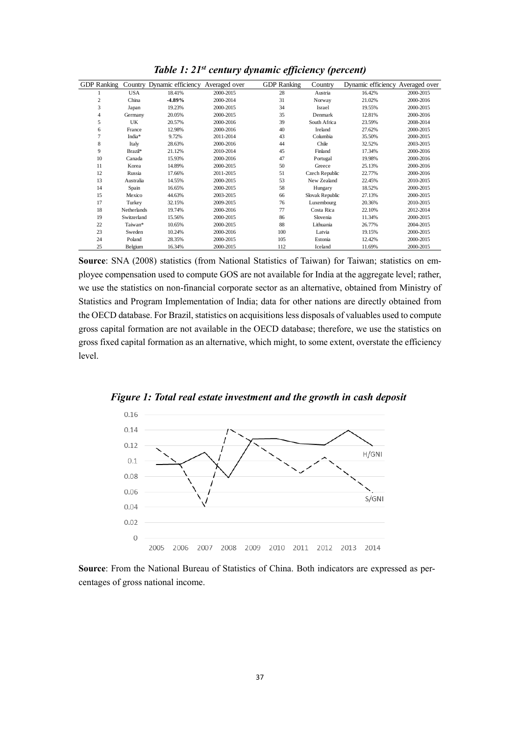| <b>GDP</b> Ranking |             | Country Dynamic efficiency | Averaged over | <b>GDP</b> Ranking | Country         | Dynamic efficiency Averaged over |           |
|--------------------|-------------|----------------------------|---------------|--------------------|-----------------|----------------------------------|-----------|
|                    | <b>USA</b>  | 18.41%                     | 2000-2015     | 28                 | Austria         | 16.42%                           | 2000-2015 |
| $\overline{c}$     | China       | $-4.89%$                   | 2000-2014     | 31                 | Norway          | 21.02%                           | 2000-2016 |
| 3                  | Japan       | 19.23%                     | 2000-2015     | 34                 | Israel          | 19.55%                           | 2000-2015 |
| $\overline{4}$     | Germany     | 20.05%                     | 2000-2015     | 35                 | Denmark         | 12.81%                           | 2000-2016 |
| 5                  | UK          | 20.57%                     | 2000-2016     | 39                 | South Africa    | 23.59%                           | 2008-2014 |
| 6                  | France      | 12.98%                     | 2000-2016     | 40                 | Ireland         | 27.62%                           | 2000-2015 |
| 7                  | India*      | 9.72%                      | 2011-2014     | 43                 | Columbia        | 35.50%                           | 2000-2015 |
| 8                  | Italy       | 28.63%                     | 2000-2016     | 44                 | Chile           | 32.52%                           | 2003-2015 |
| 9                  | Brazil*     | 21.12%                     | 2010-2014     | 45                 | Finland         | 17.34%                           | 2000-2016 |
| 10                 | Canada      | 15.93%                     | 2000-2016     | 47                 | Portugal        | 19.98%                           | 2000-2016 |
| 11                 | Korea       | 14.89%                     | 2000-2015     | 50                 | Greece          | 25.13%                           | 2000-2016 |
| 12                 | Russia      | 17.66%                     | 2011-2015     | 51                 | Czech Republic  | 22.77%                           | 2000-2016 |
| 13                 | Australia   | 14.55%                     | 2000-2015     | 53                 | New Zealand     | 22.45%                           | 2010-2015 |
| 14                 | Spain       | 16.65%                     | 2000-2015     | 58                 | Hungary         | 18.52%                           | 2000-2015 |
| 15                 | Mexico      | 44.63%                     | 2003-2015     | 66                 | Slovak Republic | 27.13%                           | 2000-2015 |
| 17                 | Turkey      | 32.15%                     | 2009-2015     | 76                 | Luxembourg      | 20.36%                           | 2010-2015 |
| 18                 | Netherlands | 19.74%                     | 2000-2016     | 77                 | Costa Rica      | 22.10%                           | 2012-2014 |
| 19                 | Switzerland | 15.56%                     | 2000-2015     | 86                 | Slovenia        | 11.34%                           | 2000-2015 |
| 22                 | Taiwan*     | 10.65%                     | 2000-2015     | 88                 | Lithuania       | 26.77%                           | 2004-2015 |
| 23                 | Sweden      | 10.24%                     | 2000-2016     | 100                | Latvia          | 19.15%                           | 2000-2015 |
| 24                 | Poland      | 28.35%                     | 2000-2015     | 105                | Estonia         | 12.42%                           | 2000-2015 |
| 25                 | Belgium     | 16.34%                     | 2000-2015     | 112                | Iceland         | 11.69%                           | 2000-2015 |

*Table 1: 21st century dynamic efficiency (percent)*

**Source**: SNA (2008) statistics (from National Statistics of Taiwan) for Taiwan; statistics on employee compensation used to compute GOS are not available for India at the aggregate level; rather, we use the statistics on non-financial corporate sector as an alternative, obtained from Ministry of Statistics and Program Implementation of India; data for other nations are directly obtained from the OECD database. For Brazil, statistics on acquisitions less disposals of valuables used to compute gross capital formation are not available in the OECD database; therefore, we use the statistics on gross fixed capital formation as an alternative, which might, to some extent, overstate the efficiency level.



*Figure 1: Total real estate investment and the growth in cash deposit*

**Source**: From the National Bureau of Statistics of China. Both indicators are expressed as percentages of gross national income.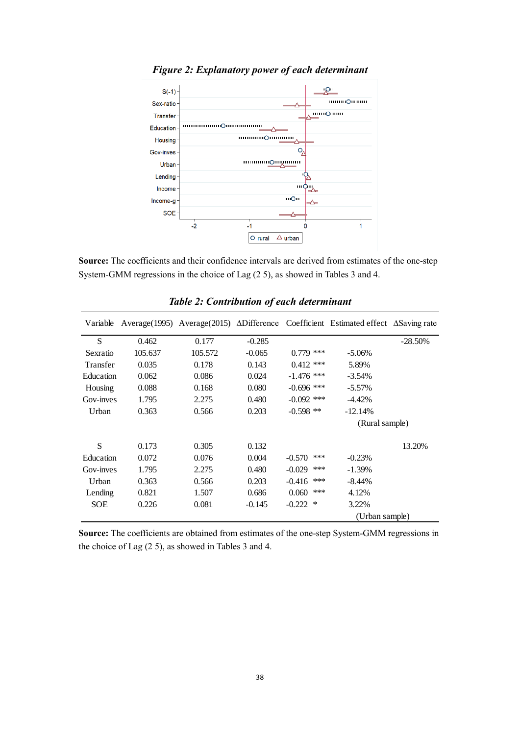

*Figure 2: Explanatory power of each determinant*

**Source:** The coefficients and their confidence intervals are derived from estimates of the one-step System-GMM regressions in the choice of Lag (2 5), as showed in Tables 3 and 4.

| Variable   |         |         |          |                 | Average (1995) Average (2015) $\triangle$ Difference Coefficient Estimated effect $\triangle$ Saving rate |           |
|------------|---------|---------|----------|-----------------|-----------------------------------------------------------------------------------------------------------|-----------|
| S          | 0.462   | 0.177   | $-0.285$ |                 |                                                                                                           | $-28.50%$ |
| Sexratio   | 105.637 | 105.572 | $-0.065$ | $0.779$ ***     | $-5.06\%$                                                                                                 |           |
| Transfer   | 0.035   | 0.178   | 0.143    | $0.412$ ***     | 5.89%                                                                                                     |           |
| Education  | 0.062   | 0.086   | 0.024    | $-1.476$ ***    | $-3.54%$                                                                                                  |           |
| Housing    | 0.088   | 0.168   | 0.080    | $-0.696$ ***    | $-5.57%$                                                                                                  |           |
| Gov-inves  | 1.795   | 2.275   | 0.480    | $-0.092$ ***    | $-4.42%$                                                                                                  |           |
| Urban      | 0.363   | 0.566   | 0.203    | $-0.598$ **     | $-12.14%$                                                                                                 |           |
|            |         |         |          |                 | (Rural sample)                                                                                            |           |
| S          | 0.173   | 0.305   | 0.132    |                 |                                                                                                           | 13.20%    |
| Education  | 0.072   | 0.076   | 0.004    | $-0.570$<br>*** | $-0.23%$                                                                                                  |           |
| Gov-inves  | 1.795   | 2.275   | 0.480    | $-0.029$<br>*** | $-1.39\%$                                                                                                 |           |
| Urban      | 0.363   | 0.566   | 0.203    | ***<br>$-0.416$ | -8.44%                                                                                                    |           |
| Lending    | 0.821   | 1.507   | 0.686    | ***<br>0.060    | 4.12%                                                                                                     |           |
| <b>SOE</b> | 0.226   | 0.081   | $-0.145$ | $-0.222$<br>∗   | 3.22%                                                                                                     |           |
|            |         |         |          |                 | (Urban sample)                                                                                            |           |

*Table 2: Contribution of each determinant*

**Source:** The coefficients are obtained from estimates of the one-step System-GMM regressions in the choice of Lag (2 5), as showed in Tables 3 and 4.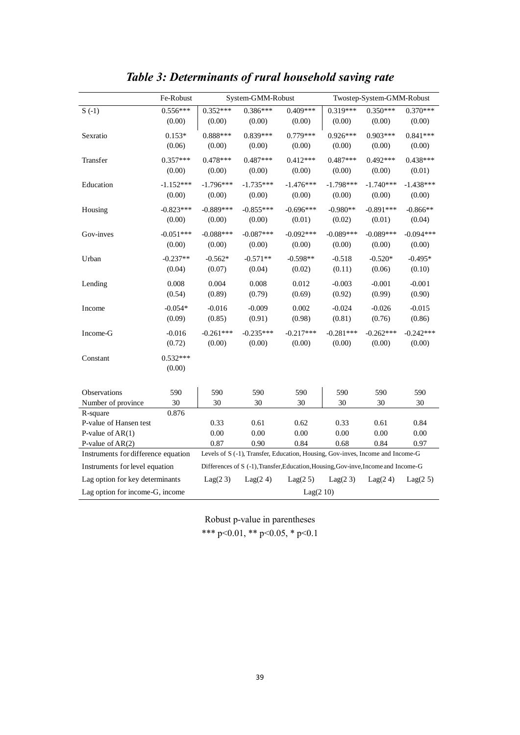|                                     | Fe-Robust   |             | System-GMM-Robust |                                                                                    |             | Twostep-System-GMM-Robust |             |
|-------------------------------------|-------------|-------------|-------------------|------------------------------------------------------------------------------------|-------------|---------------------------|-------------|
| $S( -1)$                            | $0.556***$  | $0.352***$  | $0.386***$        | $0.409***$                                                                         | $0.319***$  | $0.350***$                | $0.370***$  |
|                                     | (0.00)      | (0.00)      | (0.00)            | (0.00)                                                                             | (0.00)      | (0.00)                    | (0.00)      |
| Sexratio                            | $0.153*$    | $0.888***$  | $0.839***$        | $0.779***$                                                                         | $0.926***$  | $0.903***$                | $0.841***$  |
|                                     | (0.06)      | (0.00)      | (0.00)            | (0.00)                                                                             | (0.00)      | (0.00)                    | (0.00)      |
| Transfer                            | $0.357***$  | $0.478***$  | $0.487***$        | $0.412***$                                                                         | $0.487***$  | $0.492***$                | $0.438***$  |
|                                     | (0.00)      | (0.00)      | (0.00)            | (0.00)                                                                             | (0.00)      | (0.00)                    | (0.01)      |
| Education                           | $-1.152***$ | $-1.796***$ | $-1.735***$       | $-1.476***$                                                                        | $-1.798***$ | $-1.740***$               | $-1.438***$ |
|                                     | (0.00)      | (0.00)      | (0.00)            | (0.00)                                                                             | (0.00)      | (0.00)                    | (0.00)      |
| Housing                             | $-0.823***$ | $-0.889***$ | $-0.855***$       | $-0.696***$                                                                        | $-0.980**$  | $-0.891***$               | $-0.866**$  |
|                                     | (0.00)      | (0.00)      | (0.00)            | (0.01)                                                                             | (0.02)      | (0.01)                    | (0.04)      |
| Gov-inves                           | $-0.051***$ | $-0.088***$ | $-0.087***$       | $-0.092***$                                                                        | $-0.089***$ | $-0.089***$               | $-0.094***$ |
|                                     | (0.00)      | (0.00)      | (0.00)            | (0.00)                                                                             | (0.00)      | (0.00)                    | (0.00)      |
| Urban                               | $-0.237**$  | $-0.562*$   | $-0.571**$        | $-0.598**$                                                                         | $-0.518$    | $-0.520*$                 | $-0.495*$   |
|                                     | (0.04)      | (0.07)      | (0.04)            | (0.02)                                                                             | (0.11)      | (0.06)                    | (0.10)      |
| Lending                             | 0.008       | 0.004       | 0.008             | 0.012                                                                              | $-0.003$    | $-0.001$                  | $-0.001$    |
|                                     | (0.54)      | (0.89)      | (0.79)            | (0.69)                                                                             | (0.92)      | (0.99)                    | (0.90)      |
| Income                              | $-0.054*$   | $-0.016$    | $-0.009$          | 0.002                                                                              | $-0.024$    | $-0.026$                  | $-0.015$    |
|                                     | (0.09)      | (0.85)      | (0.91)            | (0.98)                                                                             | (0.81)      | (0.76)                    | (0.86)      |
| Income-G                            | $-0.016$    | $-0.261***$ | $-0.235***$       | $-0.217***$                                                                        | $-0.281***$ | $-0.262***$               | $-0.242***$ |
|                                     | (0.72)      | (0.00)      | (0.00)            | (0.00)                                                                             | (0.00)      | (0.00)                    | (0.00)      |
| Constant                            | $0.532***$  |             |                   |                                                                                    |             |                           |             |
|                                     | (0.00)      |             |                   |                                                                                    |             |                           |             |
|                                     |             |             |                   |                                                                                    |             |                           |             |
| Observations                        | 590         | 590         | 590               | 590                                                                                | 590         | 590                       | 590         |
| Number of province                  | 30          | 30          | 30                | 30                                                                                 | 30          | 30                        | 30          |
| R-square                            | 0.876       |             |                   |                                                                                    |             |                           |             |
| P-value of Hansen test              |             | 0.33        | 0.61              | 0.62                                                                               | 0.33        | 0.61                      | 0.84        |
| P-value of $AR(1)$                  |             | 0.00        | 0.00              | 0.00                                                                               | 0.00        | 0.00                      | 0.00        |
| P-value of $AR(2)$                  |             | 0.87        | 0.90              | 0.84                                                                               | 0.68        | 0.84                      | 0.97        |
| Instruments for difference equation |             |             |                   | Levels of S (-1), Transfer, Education, Housing, Gov-inves, Income and Income-G     |             |                           |             |
| Instruments for level equation      |             |             |                   | Differences of S (-1), Transfer, Education, Housing, Gov-inve, Income and Income-G |             |                           |             |
| Lag option for key determinants     |             | Lag(2 3)    | Lag(2 4)          | Lag(2 5)                                                                           | Lag(2 3)    | Lag(24)                   | Lag(2 5)    |
| Lag option for income-G, income     |             |             |                   | Lag(210)                                                                           |             |                           |             |

# *Table 3: Determinants of rural household saving rate*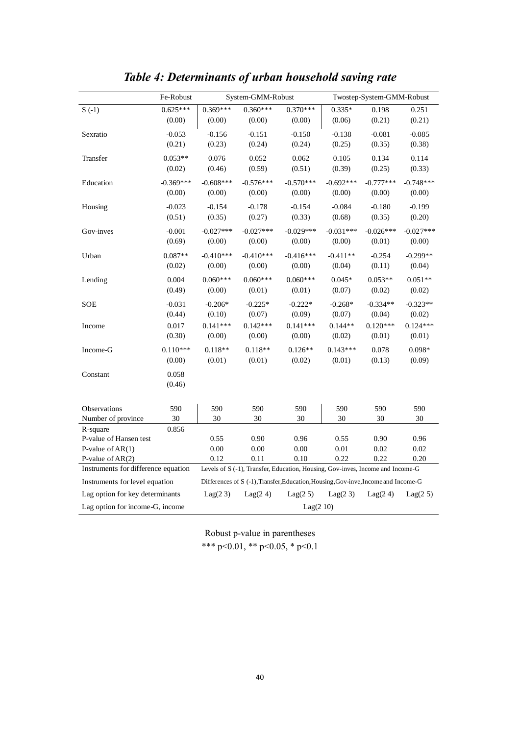|                                     | Fe-Robust       |             | System-GMM-Robust |                                                                                    |             | Twostep-System-GMM-Robust |             |
|-------------------------------------|-----------------|-------------|-------------------|------------------------------------------------------------------------------------|-------------|---------------------------|-------------|
| $S(-1)$                             | $0.625***$      | $0.369***$  | $0.360***$        | $0.370***$                                                                         | $0.335*$    | 0.198                     | 0.251       |
|                                     | (0.00)          | (0.00)      | (0.00)            | (0.00)                                                                             | (0.06)      | (0.21)                    | (0.21)      |
| Sexratio                            | $-0.053$        | $-0.156$    | $-0.151$          | $-0.150$                                                                           | $-0.138$    | $-0.081$                  | $-0.085$    |
|                                     | (0.21)          | (0.23)      | (0.24)            | (0.24)                                                                             | (0.25)      | (0.35)                    | (0.38)      |
| Transfer                            | $0.053**$       | 0.076       | 0.052             | 0.062                                                                              | 0.105       | 0.134                     | 0.114       |
|                                     | (0.02)          | (0.46)      | (0.59)            | (0.51)                                                                             | (0.39)      | (0.25)                    | (0.33)      |
| Education                           | $-0.369***$     | $-0.608***$ | $-0.576***$       | $-0.570***$                                                                        | $-0.692***$ | $-0.777***$               | $-0.748***$ |
|                                     | (0.00)          | (0.00)      | (0.00)            | (0.00)                                                                             | (0.00)      | (0.00)                    | (0.00)      |
| Housing                             | $-0.023$        | $-0.154$    | $-0.178$          | $-0.154$                                                                           | $-0.084$    | $-0.180$                  | $-0.199$    |
|                                     | (0.51)          | (0.35)      | (0.27)            | (0.33)                                                                             | (0.68)      | (0.35)                    | (0.20)      |
| Gov-inves                           | $-0.001$        | $-0.027***$ | $-0.027***$       | $-0.029***$                                                                        | $-0.031***$ | $-0.026***$               | $-0.027***$ |
|                                     | (0.69)          | (0.00)      | (0.00)            | (0.00)                                                                             | (0.00)      | (0.01)                    | (0.00)      |
| Urban                               | $0.087**$       | $-0.410***$ | $-0.410***$       | $-0.416***$                                                                        | $-0.411**$  | $-0.254$                  | $-0.299**$  |
|                                     | (0.02)          | (0.00)      | (0.00)            | (0.00)                                                                             | (0.04)      | (0.11)                    | (0.04)      |
| Lending                             | 0.004           | $0.060***$  | $0.060***$        | $0.060***$                                                                         | $0.045*$    | $0.053**$                 | $0.051**$   |
|                                     | (0.49)          | (0.00)      | (0.01)            | (0.01)                                                                             | (0.07)      | (0.02)                    | (0.02)      |
| <b>SOE</b>                          | $-0.031$        | $-0.206*$   | $-0.225*$         | $-0.222*$                                                                          | $-0.268*$   | $-0.334**$                | $-0.323**$  |
|                                     | (0.44)          | (0.10)      | (0.07)            | (0.09)                                                                             | (0.07)      | (0.04)                    | (0.02)      |
| Income                              | 0.017           | $0.141***$  | $0.142***$        | $0.141***$                                                                         | $0.144**$   | $0.120***$                | $0.124***$  |
|                                     | (0.30)          | (0.00)      | (0.00)            | (0.00)                                                                             | (0.02)      | (0.01)                    | (0.01)      |
| Income-G                            | $0.110***$      | $0.118**$   | $0.118**$         | $0.126**$                                                                          | $0.143***$  | 0.078                     | $0.098*$    |
|                                     | (0.00)          | (0.01)      | (0.01)            | (0.02)                                                                             | (0.01)      | (0.13)                    | (0.09)      |
| Constant                            | 0.058<br>(0.46) |             |                   |                                                                                    |             |                           |             |
| Observations                        | 590             | 590         | 590               | 590                                                                                | 590         | 590                       | 590         |
| Number of province                  | 30              | 30          | 30                | 30                                                                                 | 30          | 30                        | 30          |
| R-square                            | 0.856           |             |                   |                                                                                    |             |                           |             |
| P-value of Hansen test              |                 | 0.55        | 0.90              | 0.96                                                                               | 0.55        | 0.90                      | 0.96        |
| P-value of $AR(1)$                  |                 | 0.00        | $0.00\,$          | 0.00                                                                               | 0.01        | 0.02                      | 0.02        |
| P-value of $AR(2)$                  |                 | 0.12        | 0.11              | 0.10                                                                               | 0.22        | 0.22                      | 0.20        |
| Instruments for difference equation |                 |             |                   | Levels of S (-1), Transfer, Education, Housing, Gov-inves, Income and Income-G     |             |                           |             |
| Instruments for level equation      |                 |             |                   | Differences of S (-1), Transfer, Education, Housing, Gov-inve, Income and Income-G |             |                           |             |
| Lag option for key determinants     |                 | Lag(23)     | Lag(2 4)          | Lag(2 5)                                                                           | Lag(2 3)    | Lag(24)                   | Lag(2 5)    |
| Lag option for income-G, income     |                 |             |                   | Lag(210)                                                                           |             |                           |             |

# *Table 4: Determinants of urban household saving rate*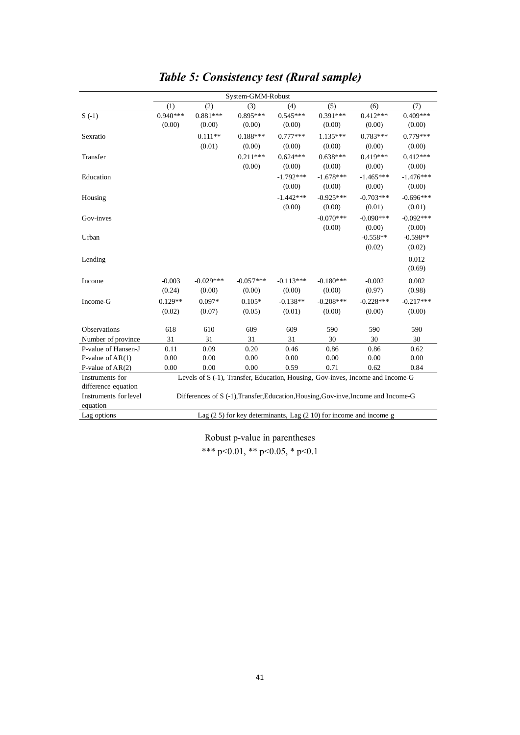|                       |            |             | System-GMM-Robust                                                                  |             |             |             |             |
|-----------------------|------------|-------------|------------------------------------------------------------------------------------|-------------|-------------|-------------|-------------|
|                       | (1)        | (2)         | (3)                                                                                | (4)         | (5)         | (6)         | (7)         |
| $S(-1)$               | $0.940***$ | $0.881***$  | $0.895***$                                                                         | $0.545***$  | $0.391***$  | $0.412***$  | $0.409***$  |
|                       | (0.00)     | (0.00)      | (0.00)                                                                             | (0.00)      | (0.00)      | (0.00)      | (0.00)      |
| Sexratio              |            | $0.111**$   | $0.188***$                                                                         | $0.777***$  | $1.135***$  | $0.783***$  | $0.779***$  |
|                       |            | (0.01)      | (0.00)                                                                             | (0.00)      | (0.00)      | (0.00)      | (0.00)      |
| Transfer              |            |             | $0.211***$                                                                         | $0.624***$  | $0.638***$  | $0.419***$  | $0.412***$  |
|                       |            |             | (0.00)                                                                             | (0.00)      | (0.00)      | (0.00)      | (0.00)      |
| Education             |            |             |                                                                                    | $-1.792***$ | $-1.678***$ | $-1.465***$ | $-1.476***$ |
|                       |            |             |                                                                                    | (0.00)      | (0.00)      | (0.00)      | (0.00)      |
| Housing               |            |             |                                                                                    | $-1.442***$ | $-0.925***$ | $-0.703***$ | $-0.696***$ |
|                       |            |             |                                                                                    | (0.00)      | (0.00)      | (0.01)      | (0.01)      |
| Gov-inves             |            |             |                                                                                    |             | $-0.070***$ | $-0.090***$ | $-0.092***$ |
|                       |            |             |                                                                                    |             | (0.00)      | (0.00)      | (0.00)      |
| Urban                 |            |             |                                                                                    |             |             | $-0.558**$  | $-0.598**$  |
|                       |            |             |                                                                                    |             |             | (0.02)      | (0.02)      |
| Lending               |            |             |                                                                                    |             |             |             | 0.012       |
|                       |            |             |                                                                                    |             |             |             | (0.69)      |
| Income                | $-0.003$   | $-0.029***$ | $-0.057***$                                                                        | $-0.113***$ | $-0.180***$ | $-0.002$    | 0.002       |
|                       | (0.24)     | (0.00)      | (0.00)                                                                             | (0.00)      | (0.00)      | (0.97)      | (0.98)      |
| Income-G              | $0.129**$  | $0.097*$    | $0.105*$                                                                           | $-0.138**$  | $-0.208***$ | $-0.228***$ | $-0.217***$ |
|                       | (0.02)     | (0.07)      | (0.05)                                                                             | (0.01)      | (0.00)      | (0.00)      | (0.00)      |
|                       |            |             |                                                                                    |             |             |             |             |
| Observations          | 618        | 610         | 609                                                                                | 609         | 590         | 590         | 590         |
| Number of province    | 31         | 31          | 31                                                                                 | 31          | 30          | 30          | 30          |
| P-value of Hansen-J   | 0.11       | 0.09        | 0.20                                                                               | 0.46        | 0.86        | 0.86        | 0.62        |
| P-value of $AR(1)$    | 0.00       | 0.00        | 0.00                                                                               | 0.00        | 0.00        | 0.00        | 0.00        |
| P-value of $AR(2)$    | 0.00       | 0.00        | 0.00                                                                               | 0.59        | 0.71        | 0.62        | 0.84        |
| Instruments for       |            |             | Levels of S (-1), Transfer, Education, Housing, Gov-inves, Income and Income-G     |             |             |             |             |
| difference equation   |            |             |                                                                                    |             |             |             |             |
| Instruments for level |            |             | Differences of S (-1), Transfer, Education, Housing, Gov-inve, Income and Income-G |             |             |             |             |
| equation              |            |             |                                                                                    |             |             |             |             |
| Lag options           |            |             | Lag $(2 5)$ for key determinants, Lag $(2 10)$ for income and income g             |             |             |             |             |

# *Table 5: Consistency test (Rural sample)*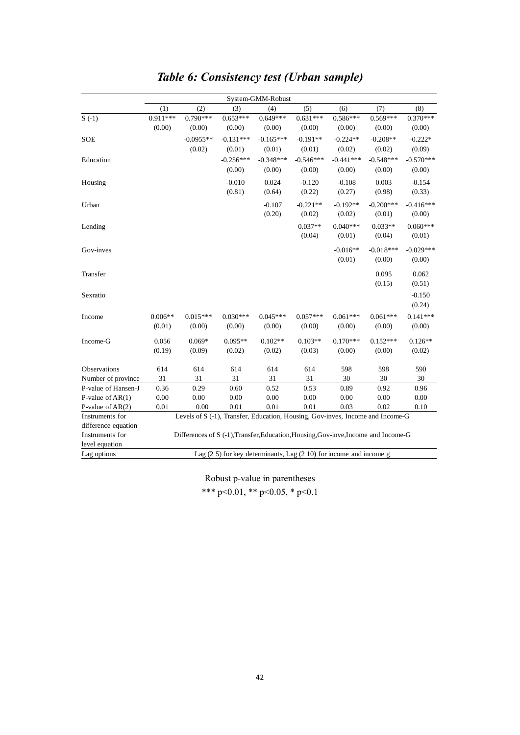|                     |            |                                                                                    |                                                                    | System-GMM-Robust   |                     |                      |                      |                     |
|---------------------|------------|------------------------------------------------------------------------------------|--------------------------------------------------------------------|---------------------|---------------------|----------------------|----------------------|---------------------|
|                     | (1)        | (2)                                                                                | (3)                                                                | (4)                 | (5)                 | (6)                  | (7)                  | (8)                 |
| $S(-1)$             | $0.911***$ | $0.790***$                                                                         | $0.653***$                                                         | $0.649***$          | $0.631***$          | $0.586***$           | $0.569***$           | $0.370***$          |
|                     | (0.00)     | (0.00)                                                                             | (0.00)                                                             | (0.00)              | (0.00)              | (0.00)               | (0.00)               | (0.00)              |
| SOE                 |            | $-0.0955**$                                                                        | $-0.131***$                                                        | $-0.165***$         | $-0.191**$          | $-0.224**$           | $-0.208**$           | $-0.222*$           |
|                     |            | (0.02)                                                                             | (0.01)                                                             | (0.01)              | (0.01)              | (0.02)               | (0.02)               | (0.09)              |
| Education           |            |                                                                                    | $-0.256***$                                                        | $-0.348***$         | $-0.546***$         | $-0.441***$          | $-0.548***$          | $-0.570***$         |
|                     |            |                                                                                    | (0.00)                                                             | (0.00)              | (0.00)              | (0.00)               | (0.00)               | (0.00)              |
| Housing             |            |                                                                                    | $-0.010$                                                           | 0.024               | $-0.120$            | $-0.108$             | 0.003                | $-0.154$            |
|                     |            |                                                                                    | (0.81)                                                             | (0.64)              | (0.22)              | (0.27)               | (0.98)               | (0.33)              |
| Urban               |            |                                                                                    |                                                                    | $-0.107$            | $-0.221**$          | $-0.192**$           | $-0.200***$          | $-0.416***$         |
|                     |            |                                                                                    |                                                                    | (0.20)              | (0.02)              | (0.02)               | (0.01)               | (0.00)              |
| Lending             |            |                                                                                    |                                                                    |                     | $0.037**$           | $0.040***$           | $0.033**$            | $0.060***$          |
|                     |            |                                                                                    |                                                                    |                     | (0.04)              | (0.01)               | (0.04)               | (0.01)              |
|                     |            |                                                                                    |                                                                    |                     |                     |                      |                      |                     |
| Gov-inves           |            |                                                                                    |                                                                    |                     |                     | $-0.016**$           | $-0.018***$          | $-0.029***$         |
|                     |            |                                                                                    |                                                                    |                     |                     | (0.01)               | (0.00)               | (0.00)              |
| Transfer            |            |                                                                                    |                                                                    |                     |                     |                      | 0.095                | 0.062               |
|                     |            |                                                                                    |                                                                    |                     |                     |                      | (0.15)               | (0.51)              |
| Sexratio            |            |                                                                                    |                                                                    |                     |                     |                      |                      | $-0.150$            |
|                     |            |                                                                                    |                                                                    |                     |                     |                      |                      | (0.24)              |
| Income              | $0.006**$  | $0.015***$                                                                         | $0.030***$                                                         | $0.045***$          | $0.057***$          | $0.061***$           | $0.061***$           | $0.141***$          |
|                     | (0.01)     | (0.00)                                                                             | (0.00)                                                             | (0.00)              | (0.00)              | (0.00)               | (0.00)               | (0.00)              |
|                     |            |                                                                                    |                                                                    |                     |                     |                      |                      |                     |
| Income-G            | 0.056      | $0.069*$<br>(0.09)                                                                 | $0.095**$<br>(0.02)                                                | $0.102**$<br>(0.02) | $0.103**$<br>(0.03) | $0.170***$<br>(0.00) | $0.152***$<br>(0.00) | $0.126**$<br>(0.02) |
|                     | (0.19)     |                                                                                    |                                                                    |                     |                     |                      |                      |                     |
| Observations        | 614        | 614                                                                                | 614                                                                | 614                 | 614                 | 598                  | 598                  | 590                 |
| Number of province  | 31         | 31                                                                                 | 31                                                                 | 31                  | 31                  | 30                   | 30                   | 30                  |
| P-value of Hansen-J | 0.36       | 0.29                                                                               | 0.60                                                               | 0.52                | 0.53                | 0.89                 | 0.92                 | 0.96                |
| P-value of $AR(1)$  | $0.00\,$   | 0.00                                                                               | 0.00                                                               | $0.00\,$            | $0.00\,$            | 0.00                 | 0.00                 | 0.00                |
| P-value of $AR(2)$  | 0.01       | 0.00                                                                               | 0.01                                                               | 0.01                | 0.01                | 0.03                 | 0.02                 | 0.10                |
| Instruments for     |            | Levels of S (-1), Transfer, Education, Housing, Gov-inves, Income and Income-G     |                                                                    |                     |                     |                      |                      |                     |
| difference equation |            |                                                                                    |                                                                    |                     |                     |                      |                      |                     |
| Instruments for     |            | Differences of S (-1), Transfer, Education, Housing, Gov-inve, Income and Income-G |                                                                    |                     |                     |                      |                      |                     |
| level equation      |            |                                                                                    |                                                                    |                     |                     |                      |                      |                     |
| Lag options         |            |                                                                                    | Lag (2 5) for key determinants, Lag (2 10) for income and income g |                     |                     |                      |                      |                     |

# *Table 6: Consistency test (Urban sample)*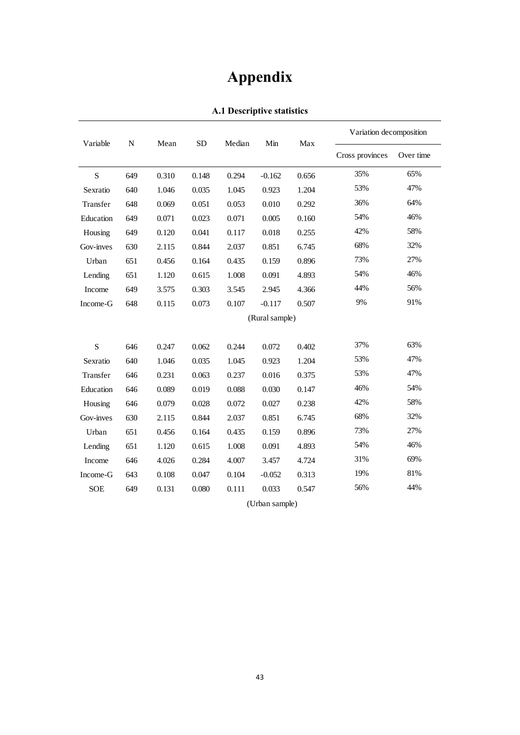# **Appendix**

| Variable   |           |       | <b>SD</b> | Median | Min            | Max   | Variation decomposition |           |
|------------|-----------|-------|-----------|--------|----------------|-------|-------------------------|-----------|
|            | ${\bf N}$ | Mean  |           |        |                |       | Cross provinces         | Over time |
| ${\bf S}$  | 649       | 0.310 | 0.148     | 0.294  | $-0.162$       | 0.656 | 35%                     | 65%       |
| Sexratio   | 640       | 1.046 | 0.035     | 1.045  | 0.923          | 1.204 | 53%                     | 47%       |
| Transfer   | 648       | 0.069 | 0.051     | 0.053  | 0.010          | 0.292 | 36%                     | 64%       |
| Education  | 649       | 0.071 | 0.023     | 0.071  | 0.005          | 0.160 | 54%                     | 46%       |
| Housing    | 649       | 0.120 | 0.041     | 0.117  | 0.018          | 0.255 | 42%                     | 58%       |
| Gov-inves  | 630       | 2.115 | 0.844     | 2.037  | 0.851          | 6.745 | 68%                     | 32%       |
| Urban      | 651       | 0.456 | 0.164     | 0.435  | 0.159          | 0.896 | 73%                     | 27%       |
| Lending    | 651       | 1.120 | 0.615     | 1.008  | 0.091          | 4.893 | 54%                     | 46%       |
| Income     | 649       | 3.575 | 0.303     | 3.545  | 2.945          | 4.366 | 44%                     | 56%       |
| Income-G   | 648       | 0.115 | 0.073     | 0.107  | $-0.117$       | 0.507 | 9%                      | 91%       |
|            |           |       |           |        | (Rural sample) |       |                         |           |
| S          | 646       | 0.247 | 0.062     | 0.244  | 0.072          | 0.402 | 37%                     | 63%       |
| Sexratio   | 640       | 1.046 | 0.035     | 1.045  | 0.923          | 1.204 | 53%                     | 47%       |
| Transfer   | 646       | 0.231 | 0.063     | 0.237  | 0.016          | 0.375 | 53%                     | 47%       |
| Education  | 646       | 0.089 | 0.019     | 0.088  | 0.030          | 0.147 | 46%                     | 54%       |
| Housing    | 646       | 0.079 | 0.028     | 0.072  | 0.027          | 0.238 | 42%                     | 58%       |
| Gov-inves  | 630       | 2.115 | 0.844     | 2.037  | 0.851          | 6.745 | 68%                     | 32%       |
| Urban      | 651       | 0.456 | 0.164     | 0.435  | 0.159          | 0.896 | 73%                     | 27%       |
| Lending    | 651       | 1.120 | 0.615     | 1.008  | 0.091          | 4.893 | 54%                     | 46%       |
|            |           |       |           |        |                | 4.724 | 31%                     | 69%       |
| Income     | 646       | 4.026 | 0.284     | 4.007  | 3.457          |       | 19%                     | 81%       |
| Income-G   | 643       | 0.108 | 0.047     | 0.104  | $-0.052$       | 0.313 | 56%                     | 44%       |
| <b>SOE</b> | 649       | 0.131 | 0.080     | 0.111  | 0.033          | 0.547 |                         |           |
|            |           |       |           |        | (Urban sample) |       |                         |           |

**A.1 Descriptive statistics**